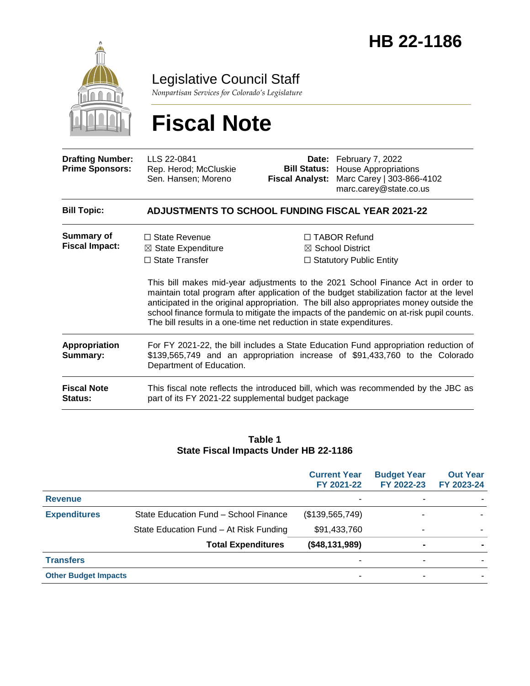

Legislative Council Staff

*Nonpartisan Services for Colorado's Legislature*

# **Fiscal Note**

| <b>Drafting Number:</b><br><b>Prime Sponsors:</b> | LLS 22-0841<br>Rep. Herod; McCluskie<br>Sen. Hansen; Moreno                                                                                           |  | Date: February 7, 2022<br><b>Bill Status:</b><br><b>House Appropriations</b><br>Marc Carey   303-866-4102<br>marc.carey@state.co.us                                                                                                                                                                                                                                                                                                                       |  |  |
|---------------------------------------------------|-------------------------------------------------------------------------------------------------------------------------------------------------------|--|-----------------------------------------------------------------------------------------------------------------------------------------------------------------------------------------------------------------------------------------------------------------------------------------------------------------------------------------------------------------------------------------------------------------------------------------------------------|--|--|
| <b>Bill Topic:</b>                                | <b>ADJUSTMENTS TO SCHOOL FUNDING FISCAL YEAR 2021-22</b>                                                                                              |  |                                                                                                                                                                                                                                                                                                                                                                                                                                                           |  |  |
| <b>Summary of</b><br><b>Fiscal Impact:</b>        | $\Box$ State Revenue<br>$\boxtimes$ State Expenditure<br>$\Box$ State Transfer<br>The bill results in a one-time net reduction in state expenditures. |  | $\Box$ TABOR Refund<br>$\boxtimes$ School District<br>$\Box$ Statutory Public Entity<br>This bill makes mid-year adjustments to the 2021 School Finance Act in order to<br>maintain total program after application of the budget stabilization factor at the level<br>anticipated in the original appropriation. The bill also appropriates money outside the<br>school finance formula to mitigate the impacts of the pandemic on at-risk pupil counts. |  |  |
| Appropriation<br>Summary:                         | Department of Education.                                                                                                                              |  | For FY 2021-22, the bill includes a State Education Fund appropriation reduction of<br>\$139,565,749 and an appropriation increase of \$91,433,760 to the Colorado                                                                                                                                                                                                                                                                                        |  |  |
| <b>Fiscal Note</b><br>Status:                     | part of its FY 2021-22 supplemental budget package                                                                                                    |  | This fiscal note reflects the introduced bill, which was recommended by the JBC as                                                                                                                                                                                                                                                                                                                                                                        |  |  |

#### **Table 1 State Fiscal Impacts Under HB 22-1186**

|                             |                                        | <b>Current Year</b><br>FY 2021-22 | <b>Budget Year</b><br>FY 2022-23 | <b>Out Year</b><br>FY 2023-24 |
|-----------------------------|----------------------------------------|-----------------------------------|----------------------------------|-------------------------------|
| <b>Revenue</b>              |                                        | -                                 |                                  |                               |
| <b>Expenditures</b>         | State Education Fund - School Finance  | (\$139,565,749)                   |                                  |                               |
|                             | State Education Fund - At Risk Funding | \$91,433,760                      |                                  |                               |
|                             | <b>Total Expenditures</b>              | (\$48,131,989)                    | $\blacksquare$                   |                               |
| <b>Transfers</b>            |                                        | ۰                                 | ۰                                |                               |
| <b>Other Budget Impacts</b> |                                        | ۰                                 |                                  |                               |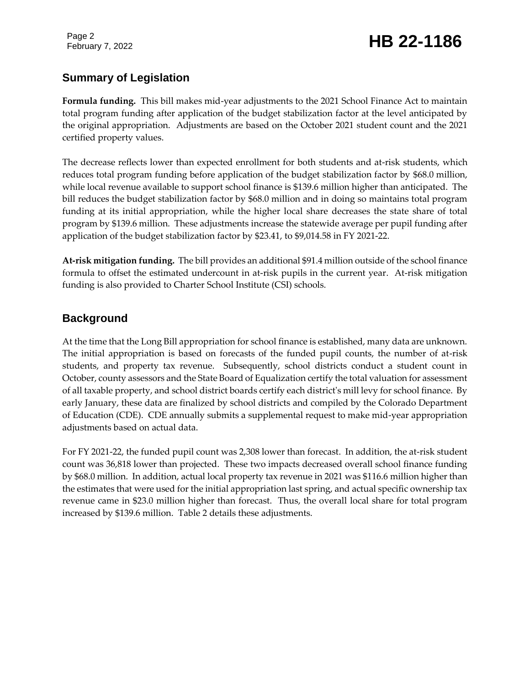Page 2

# February 7, 2022 **HB 22-1186**

### **Summary of Legislation**

**Formula funding.** This bill makes mid-year adjustments to the 2021 School Finance Act to maintain total program funding after application of the budget stabilization factor at the level anticipated by the original appropriation. Adjustments are based on the October 2021 student count and the 2021 certified property values.

The decrease reflects lower than expected enrollment for both students and at-risk students, which reduces total program funding before application of the budget stabilization factor by \$68.0 million, while local revenue available to support school finance is \$139.6 million higher than anticipated. The bill reduces the budget stabilization factor by \$68.0 million and in doing so maintains total program funding at its initial appropriation, while the higher local share decreases the state share of total program by \$139.6 million. These adjustments increase the statewide average per pupil funding after application of the budget stabilization factor by \$23.41, to \$9,014.58 in FY 2021-22.

**At-risk mitigation funding.** The bill provides an additional \$91.4 million outside of the school finance formula to offset the estimated undercount in at-risk pupils in the current year. At-risk mitigation funding is also provided to Charter School Institute (CSI) schools.

### **Background**

At the time that the Long Bill appropriation for school finance is established, many data are unknown. The initial appropriation is based on forecasts of the funded pupil counts, the number of at-risk students, and property tax revenue. Subsequently, school districts conduct a student count in October, county assessors and the State Board of Equalization certify the total valuation for assessment of all taxable property, and school district boards certify each district's mill levy for school finance. By early January, these data are finalized by school districts and compiled by the Colorado Department of Education (CDE). CDE annually submits a supplemental request to make mid-year appropriation adjustments based on actual data.

For FY 2021-22, the funded pupil count was 2,308 lower than forecast. In addition, the at-risk student count was 36,818 lower than projected. These two impacts decreased overall school finance funding by \$68.0 million. In addition, actual local property tax revenue in 2021 was \$116.6 million higher than the estimates that were used for the initial appropriation last spring, and actual specific ownership tax revenue came in \$23.0 million higher than forecast. Thus, the overall local share for total program increased by \$139.6 million. Table 2 details these adjustments.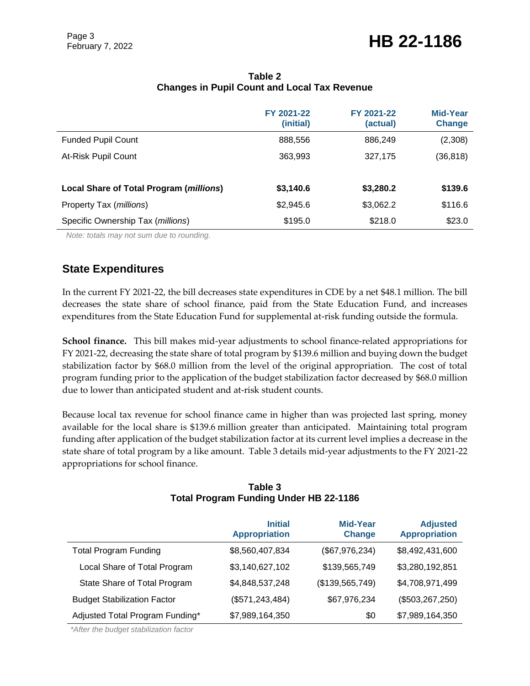|                                         | FY 2021-22<br>(initial) | FY 2021-22<br>(actual) | Mid-Year<br><b>Change</b> |
|-----------------------------------------|-------------------------|------------------------|---------------------------|
| <b>Funded Pupil Count</b>               | 888,556                 | 886,249                | (2,308)                   |
| At-Risk Pupil Count                     | 363,993                 | 327,175                | (36, 818)                 |
|                                         |                         |                        |                           |
| Local Share of Total Program (millions) | \$3,140.6               | \$3,280.2              | \$139.6                   |
| Property Tax (millions)                 | \$2,945.6               | \$3,062.2              | \$116.6                   |
| Specific Ownership Tax (millions)       | \$195.0                 | \$218.0                | \$23.0                    |

#### **Table 2 Changes in Pupil Count and Local Tax Revenue**

*Note: totals may not sum due to rounding.*

### **State Expenditures**

In the current FY 2021-22, the bill decreases state expenditures in CDE by a net \$48.1 million. The bill decreases the state share of school finance, paid from the State Education Fund, and increases expenditures from the State Education Fund for supplemental at-risk funding outside the formula.

**School finance.** This bill makes mid-year adjustments to school finance-related appropriations for FY 2021-22, decreasing the state share of total program by \$139.6 million and buying down the budget stabilization factor by \$68.0 million from the level of the original appropriation. The cost of total program funding prior to the application of the budget stabilization factor decreased by \$68.0 million due to lower than anticipated student and at-risk student counts.

Because local tax revenue for school finance came in higher than was projected last spring, money available for the local share is \$139.6 million greater than anticipated. Maintaining total program funding after application of the budget stabilization factor at its current level implies a decrease in the state share of total program by a like amount. Table 3 details mid-year adjustments to the FY 2021-22 appropriations for school finance.

|                                    | <b>Initial</b><br><b>Appropriation</b> | <b>Mid-Year</b><br><b>Change</b> | <b>Adjusted</b><br><b>Appropriation</b> |
|------------------------------------|----------------------------------------|----------------------------------|-----------------------------------------|
| <b>Total Program Funding</b>       | \$8,560,407,834                        | (\$67,976,234)                   | \$8,492,431,600                         |
| Local Share of Total Program       | \$3,140,627,102                        | \$139,565,749                    | \$3,280,192,851                         |
| State Share of Total Program       | \$4,848,537,248                        | (\$139,565,749)                  | \$4,708,971,499                         |
| <b>Budget Stabilization Factor</b> | (\$571, 243, 484)                      | \$67,976,234                     | (\$503, 267, 250)                       |
| Adjusted Total Program Funding*    | \$7,989,164,350                        | \$0                              | \$7,989,164,350                         |

#### **Table 3 Total Program Funding Under HB 22-1186**

*\*After the budget stabilization factor*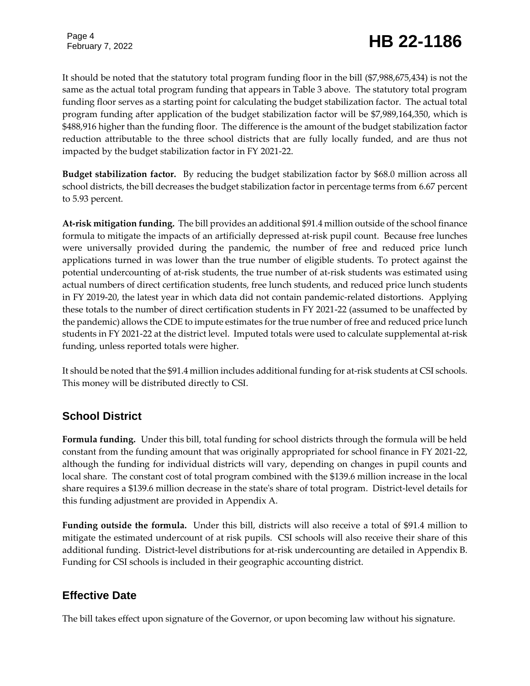# February 7, 2022 **HB 22-1186**

It should be noted that the statutory total program funding floor in the bill (\$7,988,675,434) is not the same as the actual total program funding that appears in Table 3 above. The statutory total program funding floor serves as a starting point for calculating the budget stabilization factor. The actual total program funding after application of the budget stabilization factor will be \$7,989,164,350, which is \$488,916 higher than the funding floor. The difference is the amount of the budget stabilization factor reduction attributable to the three school districts that are fully locally funded, and are thus not impacted by the budget stabilization factor in FY 2021-22.

**Budget stabilization factor.** By reducing the budget stabilization factor by \$68.0 million across all school districts, the bill decreases the budget stabilization factor in percentage terms from 6.67 percent to 5.93 percent.

**At-risk mitigation funding.** The bill provides an additional \$91.4 million outside of the school finance formula to mitigate the impacts of an artificially depressed at-risk pupil count. Because free lunches were universally provided during the pandemic, the number of free and reduced price lunch applications turned in was lower than the true number of eligible students. To protect against the potential undercounting of at-risk students, the true number of at-risk students was estimated using actual numbers of direct certification students, free lunch students, and reduced price lunch students in FY 2019-20, the latest year in which data did not contain pandemic-related distortions. Applying these totals to the number of direct certification students in FY 2021-22 (assumed to be unaffected by the pandemic) allows the CDE to impute estimates for the true number of free and reduced price lunch students in FY 2021-22 at the district level. Imputed totals were used to calculate supplemental at-risk funding, unless reported totals were higher.

It should be noted that the \$91.4 million includes additional funding for at-risk students at CSI schools. This money will be distributed directly to CSI.

### **School District**

**Formula funding.** Under this bill, total funding for school districts through the formula will be held constant from the funding amount that was originally appropriated for school finance in FY 2021-22, although the funding for individual districts will vary, depending on changes in pupil counts and local share. The constant cost of total program combined with the \$139.6 million increase in the local share requires a \$139.6 million decrease in the state's share of total program. District-level details for this funding adjustment are provided in Appendix A.

**Funding outside the formula.** Under this bill, districts will also receive a total of \$91.4 million to mitigate the estimated undercount of at risk pupils. CSI schools will also receive their share of this additional funding. District-level distributions for at-risk undercounting are detailed in Appendix B. Funding for CSI schools is included in their geographic accounting district.

### **Effective Date**

The bill takes effect upon signature of the Governor, or upon becoming law without his signature.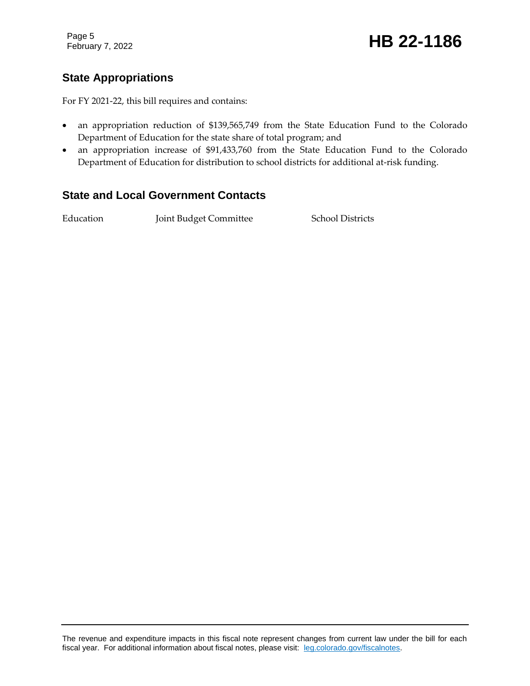Page 5

# February 7, 2022 **HB 22-1186**

## **State Appropriations**

For FY 2021-22, this bill requires and contains:

- an appropriation reduction of \$139,565,749 from the State Education Fund to the Colorado Department of Education for the state share of total program; and
- an appropriation increase of \$91,433,760 from the State Education Fund to the Colorado Department of Education for distribution to school districts for additional at-risk funding.

#### **State and Local Government Contacts**

Education Joint Budget Committee School Districts

The revenue and expenditure impacts in this fiscal note represent changes from current law under the bill for each fiscal year. For additional information about fiscal notes, please visit: [leg.colorado.gov/fiscalnotes.](https://leg.colorado.gov/fiscalnotes)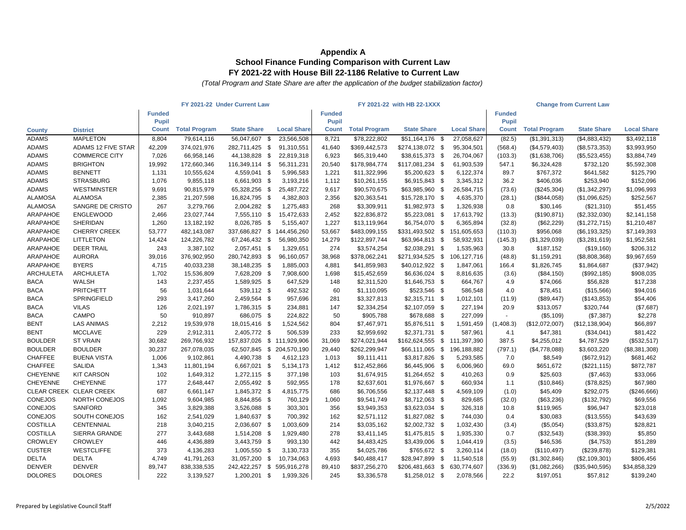|                  |                           | FY 2021-22 Under Current Law |                      |                            |  |                          | FY 2021-22 with HB 22-1XXX |                      |                              |  |                    | <b>Change from Current Law</b> |                      |                    |                    |
|------------------|---------------------------|------------------------------|----------------------|----------------------------|--|--------------------------|----------------------------|----------------------|------------------------------|--|--------------------|--------------------------------|----------------------|--------------------|--------------------|
|                  |                           | <b>Funded</b>                |                      |                            |  |                          | <b>Funded</b>              |                      |                              |  |                    | <b>Funded</b>                  |                      |                    |                    |
|                  |                           | Pupil                        |                      |                            |  |                          | <b>Pupil</b>               |                      |                              |  |                    | <b>Pupil</b>                   |                      |                    |                    |
| <b>County</b>    | <b>District</b>           | <b>Count</b>                 | <b>Total Program</b> | <b>State Share</b>         |  | <b>Local Share</b>       | Count                      | <b>Total Program</b> | <b>State Share</b>           |  | <b>Local Share</b> | <b>Count</b>                   | <b>Total Program</b> | <b>State Share</b> | <b>Local Share</b> |
| <b>ADAMS</b>     | <b>MAPLETON</b>           | 8,804                        | 79,614,116           | 56,047,607 \$              |  | 23,566,508               | 8,721                      | \$78,222,802         | \$51,164,176 \$              |  | 27,058,627         | (82.5)                         | (\$1,391,313)        | (\$4,883,432)      | \$3,492,118        |
| <b>ADAMS</b>     | <b>ADAMS 12 FIVE STAR</b> | 42,209                       | 374,021,976          | 282,711,425 \$             |  | 91,310,551               | 41,640                     | \$369,442,573        | \$274,138,072 \$             |  | 95,304,501         | (568.4)                        | (\$4,579,403)        | (\$8,573,353)      | \$3,993,950        |
| <b>ADAMS</b>     | <b>COMMERCE CITY</b>      | 7,026                        | 66,958,146           | 44,138,828 \$              |  | 22,819,318               | 6,923                      | \$65,319,440         | \$38,615,373 \$              |  | 26,704,067         | (103.3)                        | (\$1,638,706)        | (\$5,523,455)      | \$3,884,749        |
| ADAMS            | <b>BRIGHTON</b>           | 19,992                       | 172,660,346          | 116,349,114 \$             |  | 56,311,231               | 20,540                     | \$178,984,774        | \$117,081,234 \$             |  | 61,903,539         | 547.1                          | \$6,324,428          | \$732,120          | \$5,592,308        |
| <b>ADAMS</b>     | <b>BENNETT</b>            | 1,131                        | 10,555,624           | 4,559,041 \$               |  | 5,996,583                | 1,221                      | \$11,322,996         | \$5,200,623 \$               |  | 6,122,374          | 89.7                           | \$767,372            | \$641,582          | \$125,790          |
| <b>ADAMS</b>     | <b>STRASBURG</b>          | 1,076                        | 9,855,118            | 6,661,903 \$               |  | 3,193,216                | 1,112                      | \$10,261,155         | \$6,915,843 \$               |  | 3,345,312          | 36.2                           | \$406,036            | \$253,940          | \$152,096          |
| <b>ADAMS</b>     | <b>WESTMINSTER</b>        | 9,691                        | 90,815,979           | 65,328,256 \$              |  | 25,487,722               | 9,617                      | \$90,570,675         | \$63,985,960 \$              |  | 26,584,715         | (73.6)                         | (\$245,304)          | (\$1,342,297)      | \$1,096,993        |
| <b>ALAMOSA</b>   | <b>ALAMOSA</b>            | 2,385                        | 21,207,598           | 16,824,795 \$              |  | 4,382,803                | 2,356                      | \$20,363,541         | $$15,728,170$ \$             |  | 4,635,370          | (28.1)                         | (\$844,058)          | (\$1,096,625)      | \$252,567          |
| <b>ALAMOSA</b>   | SANGRE DE CRISTO          | 267                          | 3,279,766            | 2,004,282 \$               |  | 1,275,483                | 268                        | \$3,309,911          | \$1,982,973 \$               |  | 1,326,938          | 0.8                            | \$30,146             | (\$21,310)         | \$51,455           |
| ARAPAHOE         | <b>ENGLEWOOD</b>          | 2,466                        | 23,027,744           | 7,555,110 \$               |  | 15,472,633               | 2,452                      | \$22,836,872         | \$5,223,081 \$               |  | 17,613,792         | (13.3)                         | (\$190, 871)         | (\$2,332,030)      | \$2,141,158        |
| ARAPAHOE         | SHERIDAN                  | 1,260                        | 13,182,192           | 8,026,785 \$               |  | 5,155,407                | 1,227                      | \$13,119,964         | \$6,754,070 \$               |  | 6,365,894          | (32.8)                         | (\$62,229)           | (\$1,272,715)      | \$1,210,487        |
| ARAPAHOE         | <b>CHERRY CREEK</b>       | 53,777                       | 482,143,087          | 337,686,827 \$ 144,456,260 |  |                          | 53,667                     | \$483,099,155        | \$331,493,502 \$ 151,605,653 |  |                    | (110.3)                        | \$956,068            | (\$6,193,325)      | \$7,149,393        |
| ARAPAHOE         | <b>LITTLETON</b>          | 14,424                       | 124,226,782          | 67,246,432 \$              |  | 56,980,350               | 14,279                     | \$122,897,744        | \$63,964,813 \$              |  | 58,932,931         | (145.3)                        | (\$1,329,039)        | (\$3,281,619)      | \$1,952,581        |
| ARAPAHOE         | <b>DEER TRAIL</b>         | 243                          | 3,387,102            | 2,057,451 \$               |  | 1,329,651                | 274                        | \$3,574,254          | \$2,038,291 \$               |  | 1,535,963          | 30.8                           | \$187,152            | (\$19,160)         | \$206,312          |
| ARAPAHOE         | <b>AURORA</b>             | 39,016                       | 376,902,950          | 280,742,893 \$             |  | 96,160,057               | 38,968                     | \$378,062,241        | \$271,934,525 \$ 106,127,716 |  |                    | (48.8)                         | \$1,159,291          | (\$8,808,368)      | \$9,967,659        |
| ARAPAHOE         | <b>BYERS</b>              | 4,715                        | 40,033,238           | 38,148,235 \$              |  | 1,885,003                | 4,881                      | \$41,859,983         | \$40,012,922 \$              |  | 1,847,061          | 166.4                          | \$1,826,745          | \$1,864,687        | (\$37,942)         |
| <b>ARCHULETA</b> | <b>ARCHULETA</b>          | 1,702                        | 15,536,809           | 7,628,209 \$               |  | 7,908,600                | 1,698                      | \$15,452,659         | \$6,636,024 \$               |  | 8,816,635          | (3.6)                          | (\$84,150)           | (\$992, 185)       | \$908,035          |
| <b>BACA</b>      | <b>WALSH</b>              | 143                          | 2,237,455            | 1,589,925 \$               |  | 647,529                  | 148                        | \$2,311,520          | $$1,646,753$ \$              |  | 664,767            | 4.9                            | \$74,066             | \$56,828           | \$17,238           |
| <b>BACA</b>      | <b>PRITCHETT</b>          | 56                           | 1,031,644            | 539,112 \$                 |  | 492,532                  | 60                         | \$1,110,095          | \$523,546 \$                 |  | 586,548            | 4.0                            | \$78,451             | (\$15,566)         | \$94,016           |
| <b>BACA</b>      | SPRINGFIELD               | 293                          | 3,417,260            | 2,459,564 \$               |  | 957,696                  | 281                        | \$3,327,813          | $$2,315,711$ \$              |  | 1,012,101          | (11.9)                         | (\$89,447)           | (\$143,853)        | \$54,406           |
| <b>BACA</b>      | <b>VILAS</b>              | 126                          | 2,021,197            | 1,786,315 \$               |  | 234,881                  | 147                        | \$2,334,254          | $$2,107,059$ \$              |  | 227,194            | 20.9                           | \$313,057            | \$320,744          | (\$7,687)          |
| <b>BACA</b>      | CAMPO                     | 50                           | 910.897              | 686,075 \$                 |  | 224.822                  | 50                         | \$905,788            | \$678,688 \$                 |  | 227.099            | $\sim$                         | ( \$5,109)           | (\$7,387)          | \$2,278            |
| <b>BENT</b>      | <b>LAS ANIMAS</b>         | 2,212                        | 19,539,978           | 18,015,416 \$              |  | 1,524,562                | 804                        | \$7,467,971          | \$5,876,511 \$               |  | 1,591,459          | (1,408.3)                      | (\$12,072,007)       | (\$12,138,904)     | \$66,897           |
| <b>BENT</b>      | <b>MCCLAVE</b>            | 229                          | 2,912,311            | 2,405,772 \$               |  | 506,539                  | 233                        | \$2,959,692          | \$2,371,731 \$               |  | 587.961            | 4.1                            | \$47,381             | (\$34,041)         | \$81,422           |
| <b>BOULDER</b>   | <b>ST VRAIN</b>           | 30,682                       | 269,766,932          | 157,837,026 \$ 111,929,906 |  |                          | 31,069                     | \$274,021,944        | \$162,624,555 \$ 111,397,390 |  |                    | 387.5                          | \$4,255,012          | \$4,787,529        | (\$532,517)        |
| <b>BOULDER</b>   | <b>BOULDER</b>            | 30,237                       | 267,078,035          |                            |  | 62,507,845 \$204,570,190 | 29,440                     | \$262,299,947        | \$66,111,065 \$ 196,188,882  |  |                    | (797.1)                        | (\$4,778,088)        | \$3,603,220        | (\$8,381,308)      |
| <b>CHAFFEE</b>   | <b>BUENA VISTA</b>        | 1,006                        | 9,102,861            | 4,490,738 \$               |  | 4,612,123                | 1,013                      | \$9,111,411          | \$3,817,826 \$               |  | 5,293,585          | 7.0                            | \$8,549              | (\$672,912)        | \$681,462          |
| <b>CHAFFEE</b>   | <b>SALIDA</b>             | 1,343                        | 11,801,194           | 6,667,021 \$               |  | 5,134,173                | 1,412                      | \$12,452,866         | \$6,445,906 \$               |  | 6,006,960          | 69.0                           | \$651,672            | (\$221, 115)       | \$872,787          |
| <b>CHEYENNE</b>  | <b>KIT CARSON</b>         | 102                          | 1,649,312            | 1,272,115 \$               |  | 377,198                  | 103                        | \$1,674,915          | \$1,264,652 \$               |  | 410,263            | 0.9                            | \$25,603             | (\$7,463)          | \$33,066           |
| <b>CHEYENNE</b>  | <b>CHEYENNE</b>           | 177                          | 2,648,447            | 2,055,492 \$               |  | 592,955                  | 178                        | \$2,637,601          | \$1,976,667 \$               |  | 660,934            | 1.1                            | (\$10, 846)          | (\$78,825)         | \$67,980           |
|                  | CLEAR CREEK CLEAR CREEK   | 687                          | 6,661,147            | 1,845,372 \$               |  | 4,815,775                | 686                        | \$6,706,556          | $$2,137,448$ \$              |  | 4,569,109          | (1.0)                          | \$45,409             | \$292,075          | (\$246,666)        |
| <b>CONEJOS</b>   | NORTH CONEJOS             | 1,092                        | 9,604,985            | 8,844,856 \$               |  | 760,129                  | 1,060                      | \$9,541,749          | \$8,712,063 \$               |  | 829,685            | (32.0)                         | (\$63,236)           | (\$132,792)        | \$69,556           |
| <b>CONEJOS</b>   | <b>SANFORD</b>            | 345                          | 3,829,388            | 3,526,088 \$               |  | 303,301                  | 356                        | \$3,949,353          | \$3,623,034 \$               |  | 326,318            | 10.8                           | \$119,965            | \$96,947           | \$23,018           |
| <b>CONEJOS</b>   | SOUTH CONEJOS             | 162                          | 2,541,029            | 1,840,637 \$               |  | 700,392                  | 162                        | \$2,571,112          | $$1,827,082$ \$              |  | 744,030            | 0.4                            | \$30,083             | (\$13,555)         | \$43,639           |
| <b>COSTILLA</b>  | CENTENNIAL                | 218                          | 3,040,215            | 2,036,607 \$               |  | 1,003,609                | 214                        | \$3,035,162          | $$2,002,732$ \$              |  | 1,032,430          | (3.4)                          | (\$5,054)            | (\$33,875)         | \$28,821           |
| <b>COSTILLA</b>  | <b>SIERRA GRANDE</b>      | 277                          | 3,443,688            | 1,514,208 \$               |  | 1,929,480                | 278                        | \$3,411,145          | $$1,475,815$ \$              |  | 1,935,330          | 0.7                            | (\$32,543)           | (\$38,393)         | \$5,850            |
| <b>CROWLEY</b>   | <b>CROWLEY</b>            | 446                          | 4,436,889            | 3,443,759 \$               |  | 993.130                  | 442                        | \$4,483,425          | \$3,439,006 \$               |  | 1,044,419          | (3.5)                          | \$46,536             | (\$4,753)          | \$51,289           |
| <b>CUSTER</b>    | <b>WESTCLIFFE</b>         | 373                          | 4,136,283            | 1,005,550 \$               |  | 3,130,733                | 355                        | \$4,025,786          | \$765,672 \$                 |  | 3,260,114          | (18.0)                         | (\$110,497)          | (\$239,878)        | \$129,381          |
| <b>DELTA</b>     | <b>DELTA</b>              | 4,749                        | 41,791,263           | 31,057,200 \$              |  | 10,734,063               | 4,693                      | \$40,488,417         | \$28,947,899 \$              |  | 11,540,518         | (55.9)                         | (\$1,302,846)        | (\$2,109,301)      | \$806,456          |
| <b>DENVER</b>    | <b>DENVER</b>             | 89,747                       | 838,338,535          | 242,422,257 \$             |  | 595,916,278              | 89,410                     | \$837,256,270        | \$206,481,663 \$             |  | 630,774,607        | (336.9)                        | (\$1,082,266)        | (\$35,940,595)     | \$34,858,329       |
| <b>DOLORES</b>   | <b>DOLORES</b>            | 222                          | 3,139,527            | 1,200,201 \$               |  | 1,939,326                | 245                        | \$3,336,578          | $$1,258,012$ \$              |  | 2,078,566          | 22.2                           | \$197,051            | \$57,812           | \$139,240          |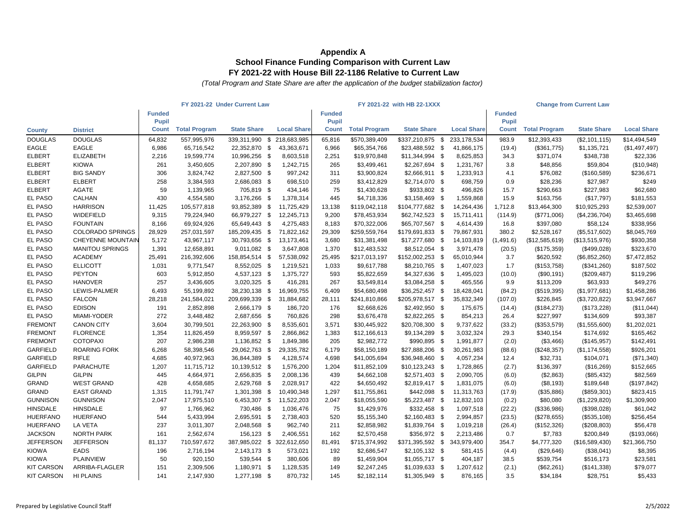|                   |                          | FY 2021-22 Under Current Law |                      |                            |    |                    | FY 2021-22 with HB 22-1XXX |                      |                              |  |                    | <b>Change from Current Law</b> |                      |                    |                    |
|-------------------|--------------------------|------------------------------|----------------------|----------------------------|----|--------------------|----------------------------|----------------------|------------------------------|--|--------------------|--------------------------------|----------------------|--------------------|--------------------|
|                   |                          | <b>Funded</b>                |                      |                            |    |                    | <b>Funded</b>              |                      |                              |  |                    | <b>Funded</b>                  |                      |                    |                    |
|                   |                          | <b>Pupil</b>                 |                      |                            |    |                    | <b>Pupil</b>               |                      |                              |  |                    | <b>Pupil</b>                   |                      |                    |                    |
| <b>County</b>     | <b>District</b>          | <b>Count</b>                 | <b>Total Program</b> | <b>State Share</b>         |    | <b>Local Share</b> | Count                      | <b>Total Program</b> | <b>State Share</b>           |  | <b>Local Share</b> | <b>Count</b>                   | <b>Total Program</b> | <b>State Share</b> | <b>Local Share</b> |
| <b>DOUGLAS</b>    | <b>DOUGLAS</b>           | 64.832                       | 557,995,976          | 339,311,990                | \$ | 218,683,985        | 65,816                     | \$570,389,409        | \$337,210,875 \$             |  | 233,178,534        | 983.9                          | \$12,393,433         | (\$2,101,115)      | \$14,494,549       |
| <b>EAGLE</b>      | <b>EAGLE</b>             | 6,986                        | 65,716,542           | 22,352,870 \$              |    | 43,363,671         | 6,966                      | \$65,354,766         | \$23,488,592 \$              |  | 41,866,175         | (19.4)                         | (\$361,775)          | \$1,135,721        | (\$1,497,497)      |
| <b>ELBERT</b>     | <b>ELIZABETH</b>         | 2,216                        | 19,599,774           | 10,996,256 \$              |    | 8,603,518          | 2,251                      | \$19,970,848         | \$11,344,994 \$              |  | 8,625,853          | 34.3                           | \$371,074            | \$348,738          | \$22,336           |
| <b>ELBERT</b>     | <b>KIOWA</b>             | 261                          | 3,450,605            | 2,207,890 \$               |    | 1,242,715          | 265                        | \$3,499,461          | \$2,267,694 \$               |  | 1,231,767          | 3.8                            | \$48,856             | \$59,804           | (\$10,948)         |
| <b>ELBERT</b>     | <b>BIG SANDY</b>         | 306                          | 3,824,742            | 2,827,500 \$               |    | 997,242            | 311                        | \$3,900,824          | \$2,666,911 \$               |  | 1,233,913          | 4.1                            | \$76,082             | (\$160,589)        | \$236,671          |
| <b>ELBERT</b>     | <b>ELBERT</b>            | 258                          | 3,384,593            | 2,686,083 \$               |    | 698,510            | 259                        | \$3,412,829          | \$2,714,070 \$               |  | 698,759            | 0.9                            | \$28,236             | \$27,987           | \$249              |
| <b>ELBERT</b>     | AGATE                    | 59                           | 1,139,965            | 705,819 \$                 |    | 434,146            | 75                         | \$1,430,628          | \$933,802 \$                 |  | 496,826            | 15.7                           | \$290,663            | \$227,983          | \$62,680           |
| EL PASO           | CALHAN                   | 430                          | 4,554,580            | 3,176,266 \$               |    | 1,378,314          | 445                        | \$4,718,336          | \$3,158,469 \$               |  | 1,559,868          | 15.9                           | \$163,756            | (\$17,797)         | \$181,553          |
| <b>EL PASO</b>    | <b>HARRISON</b>          | 11,425                       | 105,577,818          | 93,852,389 \$              |    | 11,725,429         | 13,138                     | \$119,042,118        | \$104,777,682 \$             |  | 14,264,436         | 1,712.8                        | \$13,464,300         | \$10,925,293       | \$2,539,007        |
| <b>EL PASO</b>    | WIDEFIELD                | 9,315                        | 79,224,940           | 66,979,227 \$              |    | 12,245,713         | 9,200                      | \$78,453,934         | \$62,742,523 \$              |  | 15,711,411         | (114.9)                        | (\$771,006)          | (\$4,236,704)      | \$3,465,698        |
| <b>EL PASO</b>    | <b>FOUNTAIN</b>          | 8,166                        | 69,924,926           | 65,649,443 \$              |    | 4,275,483          | 8,183                      | \$70,322,006         | \$65,707,567 \$              |  | 4,614,439          | 16.8                           | \$397,080            | \$58,124           | \$338,956          |
| <b>EL PASO</b>    | <b>COLORADO SPRINGS</b>  | 28,929                       | 257,031,597          | 185,209,435 \$             |    | 71,822,162         | 29,309                     | \$259,559,764        | \$179,691,833 \$             |  | 79,867,931         | 380.2                          | \$2,528,167          | (\$5,517,602)      | \$8,045,769        |
| EL PASO           | <b>CHEYENNE MOUNTAIN</b> | 5,172                        | 43,967,117           | 30,793,656 \$              |    | 13,173,461         | 3,680                      | \$31,381,498         | \$17,277,680 \$              |  | 14,103,819         | (1,491.6)                      | (\$12,585,619)       | (\$13,515,976)     | \$930,358          |
| <b>EL PASO</b>    | <b>MANITOU SPRINGS</b>   | 1,391                        | 12,658,891           | 9,011,082 \$               |    | 3,647,808          | 1,370                      | \$12,483,532         | \$8,512,054 \$               |  | 3.971.478          | (20.5)                         | (\$175,359)          | (\$499,028)        | \$323,670          |
| EL PASO           | <b>ACADEMY</b>           | 25,491                       | 216,392,606          | 158,854,514 \$             |    | 57,538,092         | 25,495                     | \$217,013,197        | \$152,002,253 \$             |  | 65,010,944         | 3.7                            | \$620,592            | (\$6,852,260)      | \$7,472,852        |
| <b>EL PASO</b>    | <b>ELLICOTT</b>          | 1,031                        | 9,771,547            | 8,552,025 \$               |    | 1,219,521          | 1,033                      | \$9,617,788          | \$8,210,765 \$               |  | 1,407,023          | 1.7                            | (\$153,758)          | (\$341,260)        | \$187,502          |
| EL PASO           | <b>PEYTON</b>            | 603                          | 5,912,850            | 4,537,123 \$               |    | 1,375,727          | 593                        | \$5,822,659          | \$4,327,636 \$               |  | 1,495,023          | (10.0)                         | (\$90,191)           | (\$209,487)        | \$119,296          |
| <b>EL PASO</b>    | <b>HANOVER</b>           | 257                          | 3,436,605            | 3,020,325 \$               |    | 416,281            | 267                        | \$3,549,814          | $$3,084,258$ \$              |  | 465,556            | 9.9                            | \$113,209            | \$63,933           | \$49,276           |
| <b>EL PASO</b>    | LEWIS-PALMER             | 6,493                        | 55,199,892           | 38,230,138 \$              |    | 16,969,755         | 6,409                      | \$54,680,498         | \$36,252,457 \$              |  | 18,428,041         | (84.2)                         | (\$519,395)          | (\$1,977,681)      | \$1,458,286        |
| EL PASO           | <b>FALCON</b>            | 28,218                       | 241,584,021          | 209,699,339 \$             |    | 31,884,682         | 28,111                     | \$241,810,866        | \$205,978,517 \$             |  | 35,832,349         | (107.0)                        | \$226,845            | (\$3,720,822)      | \$3,947,667        |
| <b>EL PASO</b>    | <b>EDISON</b>            | 191                          | 2,852,898            | 2,666,179 \$               |    | 186,720            | 176                        | \$2,668,626          | \$2,492,950 \$               |  | 175,675            | (14.4)                         | (\$184,273)          | (\$173,228)        | (\$11,044)         |
| <b>EL PASO</b>    | MIAMI-YODER              | 272                          | 3,448,482            | 2,687,656 \$               |    | 760,826            | 298                        | \$3,676,478          | \$2,822,265 \$               |  | 854,213            | 26.4                           | \$227,997            | \$134,609          | \$93,387           |
| <b>FREMONT</b>    | <b>CANON CITY</b>        | 3,604                        | 30,799,501           | 22,263,900 \$              |    | 8,535,601          | 3,571                      | \$30,445,922         | \$20,708,300 \$              |  | 9,737,622          | (33.2)                         | (\$353,579)          | (\$1,555,600)      | \$1,202,021        |
| <b>FREMONT</b>    | <b>FLORENCE</b>          | 1,354                        | 11,826,459           | 8,959,597 \$               |    | 2,866,862          | 1,383                      | \$12,166,613         | \$9,134,289 \$               |  | 3,032,324          | 29.3                           | \$340,154            | \$174,692          | \$165,462          |
| <b>FREMONT</b>    | <b>COTOPAXI</b>          | 207                          | 2,986,238            | 1,136,852 \$               |    | 1,849,386          | 205                        | \$2,982,772          | \$990,895 \$                 |  | 1,991,877          | (2.0)                          | (\$3,466)            | (\$145,957)        | \$142,491          |
| <b>GARFIELD</b>   | <b>ROARING FORK</b>      | 6,268                        | 58,398,546           | 29,062,763 \$              |    | 29,335,782         | 6,179                      | \$58,150,189         | \$27,888,206 \$              |  | 30,261,983         | (88.6)                         | (\$248,357)          | (\$1,174,558)      | \$926,201          |
| <b>GARFIELD</b>   | <b>RIFLE</b>             | 4,685                        | 40,972,963           | 36,844,389 \$              |    | 4,128,574          | 4,698                      | \$41,005,694         | \$36,948,460 \$              |  | 4,057,234          | 12.4                           | \$32,731             | \$104,071          | (\$71,340)         |
| <b>GARFIELD</b>   | <b>PARACHUTE</b>         | 1,207                        | 11,715,712           | 10,139,512 \$              |    | 1,576,200          | 1,204                      | \$11,852,109         | $$10,123,243$ \$             |  | 1,728,865          | (2.7)                          | \$136,397            | (\$16,269)         | \$152,665          |
| <b>GILPIN</b>     | <b>GILPIN</b>            | 445                          | 4,664,971            | 2,656,835 \$               |    | 2,008,136          | 439                        | \$4,662,108          | $$2,571,403$ \$              |  | 2,090,705          | (6.0)                          | (\$2,863)            | (\$85,432)         | \$82,569           |
| GRAND             | <b>WEST GRAND</b>        | 428                          | 4.658.685            | 2,629,768 \$               |    | 2,028,917          | 422                        | \$4,650,492          | \$2,819,417 \$               |  | 1,831,075          | (6.0)                          | (\$8,193)            | \$189,648          | (\$197,842)        |
| GRAND             | <b>EAST GRAND</b>        | 1,315                        | 11,791,747           | 1,301,398 \$               |    | 10,490,348         | 1,297                      | \$11,755,861         | \$442,098 \$                 |  | 11,313,763         | (17.9)                         | (\$35,886)           | (\$859,301)        | \$823,415          |
| <b>GUNNISON</b>   | <b>GUNNISON</b>          | 2,047                        | 17,975,510           | 6,453,307 \$               |    | 11,522,203         | 2,047                      | \$18,055,590         | \$5,223,487 \$               |  | 12,832,103         | (0.2)                          | \$80,080             | (\$1,229,820)      | \$1,309,900        |
| <b>HINSDALE</b>   | <b>HINSDALE</b>          | 97                           | 1,766,962            | 730,486 \$                 |    | 1,036,476          | 75                         | \$1,429,976          | \$332,458 \$                 |  | 1,097,518          | (22.2)                         | (\$336,986)          | (\$398,028)        | \$61,042           |
| <b>HUERFANO</b>   | <b>HUERFANO</b>          | 544                          | 5,433,994            | 2,695,591 \$               |    | 2,738,403          | 520                        | \$5,155,340          | $$2,160,483$ \$              |  | 2,994,857          | (23.5)                         | (\$278,655)          | (\$535,108)        | \$256,454          |
| <b>HUERFANO</b>   | LA VETA                  | 237                          | 3,011,307            | 2,048,568 \$               |    | 962,740            | 211                        | \$2,858,982          | \$1,839,764 \$               |  | 1,019,218          | (26.4)                         | (\$152,326)          | (\$208,803)        | \$56,478           |
| <b>JACKSON</b>    | <b>NORTH PARK</b>        | 161                          | 2,562,674            | 156,123                    | \$ | 2,406,551          | 162                        | \$2,570,458          | \$356,972 \$                 |  | 2,213,486          | 0.7                            | \$7,783              | \$200,849          | (\$193,066)        |
| <b>JEFFERSON</b>  | <b>JEFFERSON</b>         | 81,137                       | 710,597,672          | 387,985,022 \$ 322,612,650 |    |                    | 81,491                     | \$715,374,992        | \$371,395,592 \$ 343,979,400 |  |                    | 354.7                          | \$4,777,320          | (\$16,589,430)     | \$21,366,750       |
| <b>KIOWA</b>      | EADS                     | 196                          | 2,716,194            | 2,143,173 \$               |    | 573,021            | 192                        | \$2,686,547          | $$2,105,132$ \$              |  | 581,415            | (4.4)                          | (\$29,646)           | (\$38,041)         | \$8,395            |
| <b>KIOWA</b>      | <b>PLAINVIEW</b>         | 50                           | 920,150              | 539,544 \$                 |    | 380,606            | 89                         | \$1,459,904          | $$1,055,717$ \$              |  | 404,187            | 38.5                           | \$539,754            | \$516,173          | \$23,581           |
| <b>KIT CARSON</b> | ARRIBA-FLAGLER           | 151                          | 2,309,506            | 1,180,971 \$               |    | 1,128,535          | 149                        | \$2,247,245          | \$1,039,633 \$               |  | 1,207,612          | (2.1)                          | (\$62,261)           | (\$141,338)        | \$79,077           |
| <b>KIT CARSON</b> | <b>HI PLAINS</b>         | 141                          | 2,147,930            | 1,277,198 \$               |    | 870,732            | 145                        | \$2,182,114          | $$1,305,949$ \$              |  | 876,165            | 3.5                            | \$34,184             | \$28,751           | \$5,433            |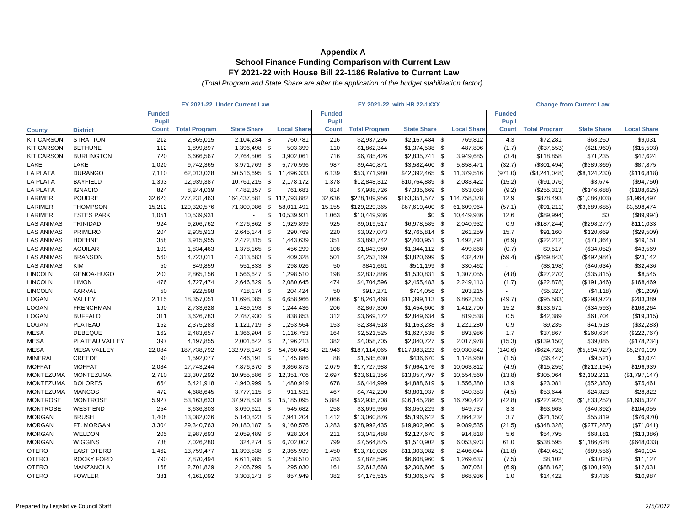|                   |                    | FY 2021-22 Under Current Law |                      |                            |    |                    | FY 2021-22 with HB 22-1XXX |                      |                              |  |                    | <b>Change from Current Law</b> |                      |                    |                    |
|-------------------|--------------------|------------------------------|----------------------|----------------------------|----|--------------------|----------------------------|----------------------|------------------------------|--|--------------------|--------------------------------|----------------------|--------------------|--------------------|
|                   |                    | <b>Funded</b>                |                      |                            |    |                    | <b>Funded</b>              |                      |                              |  |                    | <b>Funded</b>                  |                      |                    |                    |
|                   |                    | Pupil                        |                      |                            |    |                    | Pupil                      |                      |                              |  |                    | Pupil                          |                      |                    |                    |
| <b>County</b>     | <b>District</b>    | <b>Count</b>                 | <b>Total Program</b> | <b>State Share</b>         |    | <b>Local Share</b> | Count                      | <b>Total Program</b> | <b>State Share</b>           |  | <b>Local Share</b> | <b>Count</b>                   | <b>Total Program</b> | <b>State Share</b> | <b>Local Share</b> |
| <b>KIT CARSON</b> | <b>STRATTON</b>    | 212                          | 2,865,015            | 2,104,234 \$               |    | 760,781            | 216                        | \$2,937,296          | $$2,167,484$ \$              |  | 769,812            | 4.3                            | \$72,281             | \$63,250           | \$9,031            |
| <b>KIT CARSON</b> | <b>BETHUNE</b>     | 112                          | 1,899,897            | 1,396,498 \$               |    | 503,399            | 110                        | \$1,862,344          | \$1,374,538 \$               |  | 487,806            | (1.7)                          | (\$37,553)           | (\$21,960)         | (\$15,593)         |
| <b>KIT CARSON</b> | <b>BURLINGTON</b>  | 720                          | 6,666,567            | 2,764,506 \$               |    | 3,902,061          | 716                        | \$6,785,426          | $$2,835,741$ \$              |  | 3,949,685          | (3.4)                          | \$118,858            | \$71,235           | \$47,624           |
| LAKE              | LAKE               | 1,020                        | 9,742,365            | 3,971,769 \$               |    | 5,770,596          | 987                        | \$9,440,871          | \$3,582,400 \$               |  | 5,858,471          | (32.7)                         | (\$301,494)          | (\$389,369)        | \$87,875           |
| <b>LA PLATA</b>   | <b>DURANGO</b>     | 7,110                        | 62,013,028           | 50,516,695 \$              |    | 11,496,333         | 6,139                      | \$53,771,980         | \$42,392,465 \$              |  | 11,379,516         | (971.0)                        | (\$8,241,048)        | (\$8, 124, 230)    | (\$116, 818)       |
| <b>LA PLATA</b>   | <b>BAYFIELD</b>    | 1,393                        | 12,939,387           | 10,761,215 \$              |    | 2,178,172          | 1,378                      | \$12,848,312         | \$10,764,889 \$              |  | 2,083,422          | (15.2)                         | (\$91,076)           | \$3,674            | (\$94,750)         |
| <b>LA PLATA</b>   | <b>IGNACIO</b>     | 824                          | 8,244,039            | 7,482,357 \$               |    | 761,683            | 814                        | \$7,988,726          | \$7,335,669 \$               |  | 653,058            | (9.2)                          | (\$255,313)          | (\$146,688)        | (\$108,625)        |
| LARIMER           | <b>POUDRE</b>      | 32,623                       | 277,231,463          | 164,437,581 \$ 112,793,882 |    |                    | 32,636                     | \$278,109,956        | \$163,351,577 \$ 114,758,378 |  |                    | 12.9                           | \$878,493            | (\$1,086,003)      | \$1,964,497        |
| LARIMER           | <b>THOMPSON</b>    | 15,212                       | 129,320,576          | 71,309,086 \$              |    | 58,011,491         | 15,155                     | \$129,229,365        | \$67,619,400 \$              |  | 61,609,964         | (57.1)                         | (\$91,211)           | (\$3,689,685)      | \$3,598,474        |
| <b>LARIMER</b>    | <b>ESTES PARK</b>  | 1,051                        | 10,539,931           | $\sim$                     | \$ | 10,539,931         | 1,063                      | \$10,449,936         | $$0$ \$                      |  | 10,449,936         | 12.6                           | (\$89,994)           | \$0                | (\$89,994)         |
| <b>LAS ANIMAS</b> | TRINIDAD           | 924                          | 9,206,762            | 7,276,862 \$               |    | 1,929,899          | 925                        | \$9,019,517          | \$6,978,585 \$               |  | 2,040,932          | 0.9                            | (\$187,244)          | (\$298, 277)       | \$111,033          |
| <b>LAS ANIMAS</b> | <b>PRIMERO</b>     | 204                          | 2,935,913            | 2,645,144 \$               |    | 290,769            | 220                        | \$3,027,073          | \$2,765,814 \$               |  | 261,259            | 15.7                           | \$91,160             | \$120,669          | (\$29,509)         |
| <b>LAS ANIMAS</b> | <b>HOEHNE</b>      | 358                          | 3,915,955            | 2,472,315 \$               |    | 1,443,639          | 351                        | \$3,893,742          | $$2,400,951$ \$              |  | 1,492,791          | (6.9)                          | (\$22,212)           | (\$71,364)         | \$49,151           |
| <b>LAS ANIMAS</b> | <b>AGUILAR</b>     | 109                          | 1,834,463            | 1,378,165 \$               |    | 456,299            | 108                        | \$1,843,980          | $$1,344,112$ \$              |  | 499,868            | (0.7)                          | \$9,517              | (\$34,052)         | \$43,569           |
| <b>LAS ANIMAS</b> | <b>BRANSON</b>     | 560                          | 4,723,011            | 4,313,683 \$               |    | 409,328            | 501                        | \$4,253,169          | \$3,820,699 \$               |  | 432,470            | (59.4)                         | (\$469, 843)         | (\$492,984)        | \$23,142           |
| <b>LAS ANIMAS</b> | <b>KIM</b>         | 50                           | 849,859              | 551,833 \$                 |    | 298,026            | 50                         | \$841,661            | \$511,199 \$                 |  | 330,462            | $\sim$                         | (\$8,198)            | (\$40,634)         | \$32,436           |
| <b>LINCOLN</b>    | <b>GENOA-HUGO</b>  | 203                          | 2,865,156            | 1,566,647 \$               |    | 1,298,510          | 198                        | \$2,837,886          | $$1,530,831$ \$              |  | 1,307,055          | (4.8)                          | (\$27,270)           | (\$35,815)         | \$8,545            |
| <b>LINCOLN</b>    | <b>LIMON</b>       | 476                          | 4,727,474            | 2,646,829 \$               |    | 2,080,645          | 474                        | \$4,704,596          | \$2,455,483 \$               |  | 2,249,113          | (1.7)                          | (\$22,878)           | (\$191,346)        | \$168,469          |
| <b>LINCOLN</b>    | <b>KARVAL</b>      | 50                           | 922,598              | 718,174 \$                 |    | 204,424            | 50                         | \$917,271            | \$714,056 \$                 |  | 203,215            | $\sim$                         | (\$5,327)            | (\$4,118)          | (\$1,209)          |
| LOGAN             | VALLEY             | 2,115                        | 18,357,051           | 11,698,085 \$              |    | 6,658,966          | 2,066                      | \$18,261,468         | \$11,399,113 \$              |  | 6,862,355          | (49.7)                         | (\$95,583)           | (\$298,972)        | \$203,389          |
| LOGAN             | <b>FRENCHMAN</b>   | 190                          | 2,733,628            | 1,489,193 \$               |    | 1,244,436          | 206                        | \$2,867,300          | $$1,454,600$ \$              |  | 1,412,700          | 15.2                           | \$133,671            | (\$34,593)         | \$168,264          |
| LOGAN             | <b>BUFFALO</b>     | 311                          | 3,626,783            | 2,787,930 \$               |    | 838,853            | 312                        | \$3,669,172          | \$2,849,634 \$               |  | 819,538            | 0.5                            | \$42,389             | \$61,704           | (\$19,315)         |
| LOGAN             | PLATEAU            | 152                          | 2,375,283            | 1,121,719 \$               |    | 1,253,564          | 153                        | \$2,384,518          | $$1,163,238$ \$              |  | 1,221,280          | 0.9                            | \$9,235              | \$41,518           | (\$32,283)         |
| <b>MESA</b>       | <b>DEBEQUE</b>     | 162                          | 2,483,657            | 1,366,904 \$               |    | 1,116,753          | 164                        | \$2,521,525          | \$1,627,538 \$               |  | 893,986            | 1.7                            | \$37,867             | \$260,634          | (\$222,767)        |
| <b>MESA</b>       | PLATEAU VALLEY     | 397                          | 4,197,855            | 2,001,642 \$               |    | 2,196,213          | 382                        | \$4,058,705          | \$2,040,727 \$               |  | 2,017,978          | (15.3)                         | (\$139, 150)         | \$39,085           | (\$178,234)        |
| <b>MESA</b>       | <b>MESA VALLEY</b> | 22,084                       | 187,738,792          | 132,978,149 \$             |    | 54,760,643         | 21,943                     | \$187,114,065        | \$127,083,223 \$             |  | 60,030,842         | (140.6)                        | (\$624,728)          | (\$5,894,927)      | \$5,270,199        |
| <b>MINERAL</b>    | CREEDE             | 90                           | 1,592,077            | 446,191 \$                 |    | 1,145,886          | 88                         | \$1,585,630          | \$436,670 \$                 |  | 1,148,960          | (1.5)                          | (\$6,447)            | (\$9,521)          | \$3,074            |
| <b>MOFFAT</b>     | <b>MOFFAT</b>      | 2,084                        | 17,743,244           | 7,876,370 \$               |    | 9,866,873          | 2,079                      | \$17,727,988         | \$7,664,176 \$               |  | 10,063,812         | (4.9)                          | (\$15,255)           | (\$212, 194)       | \$196,939          |
| <b>MONTEZUMA</b>  | <b>MONTEZUMA</b>   | 2,710                        | 23,307,292           | 10,955,586 \$              |    | 12,351,706         | 2,697                      | \$23,612,356         | \$13,057,797 \$              |  | 10,554,560         | (13.8)                         | \$305,064            | \$2,102,211        | (\$1,797,147)      |
| <b>MONTEZUMA</b>  | <b>DOLORES</b>     | 664                          | 6,421,918            | 4,940,999 \$               |    | 1,480,919          | 678                        | \$6,444,999          | \$4,888,619 \$               |  | 1,556,380          | 13.9                           | \$23,081             | (\$52,380)         | \$75,461           |
| <b>MONTEZUMA</b>  | <b>MANCOS</b>      | 472                          | 4,688,645            | 3,777,115 \$               |    | 911,531            | 467                        | \$4,742,290          | \$3,801,937 \$               |  | 940,353            | (4.5)                          | \$53,644             | \$24,823           | \$28,822           |
| <b>MONTROSE</b>   | <b>MONTROSE</b>    | 5,927                        | 53,163,633           | 37,978,538 \$              |    | 15,185,095         | 5,884                      | \$52,935,708         | \$36,145,286 \$              |  | 16,790,422         | (42.8)                         | (\$227,925)          | (\$1,833,252)      | \$1,605,327        |
| <b>MONTROSE</b>   | <b>WEST END</b>    | 254                          | 3,636,303            | 3,090,621 \$               |    | 545,682            | 258                        | \$3,699,966          | \$3,050,229 \$               |  | 649,737            | 3.3                            | \$63,663             | (\$40,392)         | \$104,055          |
| <b>MORGAN</b>     | <b>BRUSH</b>       | 1,408                        | 13,082,026           | 5,140,823 \$               |    | 7,941,204          | 1,412                      | \$13,060,876         | \$5,196,642 \$               |  | 7,864,234          | 3.7                            | (\$21,150)           | \$55,819           | (\$76,970)         |
| <b>MORGAN</b>     | FT. MORGAN         | 3,304                        | 29,340,763           | 20,180,187 \$              |    | 9,160,576          | 3,283                      | \$28,992,435         | \$19,902,900 \$              |  | 9,089,535          | (21.5)                         | (\$348,328)          | (\$277, 287)       | (\$71,041)         |
| <b>MORGAN</b>     | WELDON             | 205                          | 2,987,693            | 2,059,489 \$               |    | 928,204            | 211                        | \$3,042,488          | \$2,127,670 \$               |  | 914,818            | 5.6                            | \$54,795             | \$68,181           | (\$13,386)         |
| <b>MORGAN</b>     | <b>WIGGINS</b>     | 738                          | 7,026,280            | 324,274 \$                 |    | 6,702,007          | 799                        | \$7,564,875          | \$1,510,902 \$               |  | 6,053,973          | 61.0                           | \$538,595            | \$1,186,628        | (\$648,033)        |
| <b>OTERO</b>      | <b>EAST OTERO</b>  | 1,462                        | 13,759,477           | 11,393,538 \$              |    | 2,365,939          | 1,450                      | \$13,710,026         | \$11,303,982 \$              |  | 2,406,044          | (11.8)                         | (\$49,451)           | (\$89,556)         | \$40,104           |
| <b>OTERO</b>      | <b>ROCKY FORD</b>  | 790                          | 7,870,494            | 6,611,985 \$               |    | 1,258,510          | 783                        | \$7,878,596          | \$6,608,960 \$               |  | 1,269,637          | (7.5)                          | \$8,102              | (\$3,025)          | \$11,127           |
| <b>OTERO</b>      | MANZANOLA          | 168                          | 2,701,829            | 2,406,799 \$               |    | 295,030            | 161                        | \$2,613,668          | \$2,306,606 \$               |  | 307,061            | (6.9)                          | (\$88,162)           | (\$100, 193)       | \$12,031           |
| <b>OTERO</b>      | <b>FOWLER</b>      | 381                          | 4,161,092            | 3,303,143 \$               |    | 857,949            | 382                        | \$4,175,515          | \$3,306,579 \$               |  | 868,936            | 1.0                            | \$14,422             | \$3,436            | \$10,987           |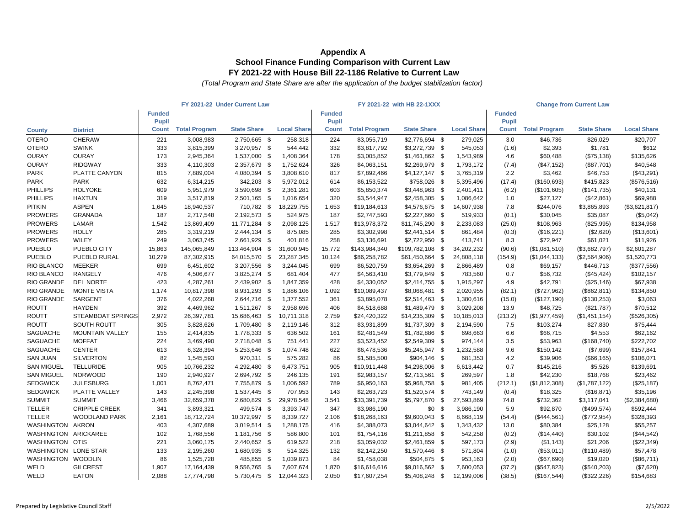|                      | FY 2021-22 Under Current Law |                       |                      |                    |                    |                               |                      | FY 2021-22 with HB 22-1XXX |                    | <b>Change from Current Law</b> |                      |                    |                    |
|----------------------|------------------------------|-----------------------|----------------------|--------------------|--------------------|-------------------------------|----------------------|----------------------------|--------------------|--------------------------------|----------------------|--------------------|--------------------|
|                      |                              | <b>Funded</b>         |                      |                    |                    | <b>Funded</b><br><b>Pupil</b> |                      |                            |                    | <b>Funded</b><br>Pupil         |                      |                    |                    |
| <b>County</b>        | <b>District</b>              | Pupil<br><b>Count</b> | <b>Total Program</b> | <b>State Share</b> | <b>Local Share</b> | Count                         | <b>Total Program</b> | <b>State Share</b>         | <b>Local Share</b> | Count                          | <b>Total Program</b> | <b>State Share</b> | <b>Local Share</b> |
| <b>OTERO</b>         | <b>CHERAW</b>                | 221                   | 3,008,983            | 2,750,665 \$       | 258,318            | 224                           | \$3,055,719          | \$2,776,694 \$             | 279,025            | 3.0                            | \$46,736             | \$26,029           | \$20,707           |
| <b>OTERO</b>         | <b>SWINK</b>                 | 333                   | 3,815,399            | 3,270,957 \$       | 544,442            | 332                           | \$3,817,792          | \$3,272,739 \$             | 545,053            | (1.6)                          | \$2,393              | \$1,781            | \$612              |
| <b>OURAY</b>         | <b>OURAY</b>                 | 173                   | 2,945,364            | 1,537,000 \$       | 1,408,364          | 178                           | \$3,005,852          | \$1,461,862 \$             | 1,543,989          | 4.6                            | \$60,488             | (\$75,138)         | \$135,626          |
| <b>OURAY</b>         | <b>RIDGWAY</b>               | 333                   | 4,110,303            | 2,357,679 \$       | 1,752,624          | 326                           | \$4,063,151          | \$2,269,979 \$             | 1,793,172          | (7.4)                          | (\$47,152)           | (\$87,701)         | \$40,548           |
| <b>PARK</b>          | PLATTE CANYON                | 815                   | 7,889,004            | 4,080,394 \$       | 3,808,610          | 817                           | \$7,892,466          | $$4,127,147$ \$            | 3,765,319          | 2.2                            | \$3,462              | \$46,753           | (\$43,291)         |
| <b>PARK</b>          | <b>PARK</b>                  | 632                   | 6,314,215            | 342,203 \$         | 5,972,012          | 614                           | \$6,153,522          | \$758,026 \$               | 5,395,496          | (17.4)                         | (\$160,693)          | \$415,823          | (\$576,516)        |
| <b>PHILLIPS</b>      | <b>HOLYOKE</b>               | 609                   | 5,951,979            | 3,590,698 \$       | 2,361,281          | 603                           | \$5,850,374          | \$3,448,963 \$             | 2,401,411          | (6.2)                          | (\$101,605)          | (\$141,735)        | \$40,131           |
| <b>PHILLIPS</b>      | <b>HAXTUN</b>                | 319                   | 3,517,819            | 2,501,165 \$       | 1,016,654          | 320                           | \$3,544,947          | $$2,458,305$ \$            | 1,086,642          | 1.0                            | \$27,127             | (\$42,861)         | \$69,988           |
| <b>PITKIN</b>        | <b>ASPEN</b>                 | 1,645                 | 18,940,537           | 710,782 \$         | 18,229,755         | 1,653                         | \$19,184,613         | \$4,576,675 \$             | 14,607,938         | 7.8                            | \$244,076            | \$3,865,893        | (\$3,621,817)      |
| <b>PROWERS</b>       | <b>GRANADA</b>               | 187                   | 2,717,548            | 2,192,573 \$       | 524,975            | 187                           | \$2,747,593          | $$2,227,660$ \$            | 519,933            | (0.1)                          | \$30,045             | \$35,087           | (\$5,042)          |
| <b>PROWERS</b>       | LAMAR                        | 1,542                 | 13,869,409           | 11,771,284 \$      | 2,098,125          | 1,517                         | \$13,978,372         | \$11,745,290 \$            | 2,233,083          | (25.0)                         | \$108,963            | (\$25,995)         | \$134,958          |
| <b>PROWERS</b>       | <b>HOLLY</b>                 | 285                   | 3,319,219            | 2,444,134 \$       | 875,085            | 285                           | \$3,302,998          | $$2,441,514$ \$            | 861,484            | (0.3)                          | (\$16,221)           | (\$2,620)          | (\$13,601)         |
| <b>PROWERS</b>       | WILEY                        | 249                   | 3,063,745            | 2,661,929 \$       | 401,816            | 258                           | \$3,136,691          | \$2,722,950 \$             | 413,741            | 8.3                            | \$72,947             | \$61,021           | \$11,926           |
| <b>PUEBLO</b>        | PUEBLO CITY                  | 15,863                | 145,065,849          | 113,464,904 \$     | 31,600,945         | 15,772                        | \$143,984,340        | \$109,782,108 \$           | 34,202,232         | (90.6)                         | (\$1,081,510)        | (\$3,682,797)      | \$2,601,287        |
| <b>PUEBLO</b>        | PUEBLO RURAL                 | 10,279                | 87,302,915           | 64,015,570 \$      | 23,287,345         | 10,124                        | \$86,258,782         | \$61,450,664 \$            | 24,808,118         | (154.9)                        | (\$1,044,133)        | (\$2,564,906)      | \$1,520,773        |
| RIO BLANCO           | <b>MEEKER</b>                | 699                   | 6,451,602            | 3,207,556 \$       | 3,244,045          | 699                           | \$6,520,759          | \$3,654,269 \$             | 2,866,489          | 0.8                            | \$69,157             | \$446,713          | (\$377,556)        |
| RIO BLANCO           | <b>RANGELY</b>               | 476                   | 4,506,677            | 3,825,274 \$       | 681,404            | 477                           | \$4,563,410          | \$3,779,849 \$             | 783,560            | 0.7                            | \$56,732             | (\$45,424)         | \$102,157          |
| RIO GRANDE           | <b>DEL NORTE</b>             | 423                   | 4,287,261            | 2,439,902 \$       | 1,847,359          | 428                           | \$4,330,052          | $$2,414,755$ \$            | 1,915,297          | 4.9                            | \$42,791             | (\$25,146)         | \$67,938           |
| RIO GRANDE           | <b>MONTE VISTA</b>           | 1,174                 | 10,817,398           | 8,931,293 \$       | 1,886,106          | 1,092                         | \$10,089,437         | \$8,068,481 \$             | 2,020,955          | (82.1)                         | (\$727,962)          | (\$862, 811)       | \$134,850          |
| <b>RIO GRANDE</b>    | SARGENT                      | 376                   | 4,022,268            | 2,644,716 \$       | 1,377,552          | 361                           | \$3,895,078          | $$2,514,463$ \$            | 1,380,616          | (15.0)                         | (\$127,190)          | (\$130,253)        | \$3,063            |
| <b>ROUTT</b>         | <b>HAYDEN</b>                | 392                   | 4,469,962            | 1,511,267 \$       | 2,958,696          | 406                           | \$4,518,688          | \$1,489,479 \$             | 3,029,208          | 13.9                           | \$48,725             | (\$21,787)         | \$70,512           |
| <b>ROUTT</b>         | <b>STEAMBOAT SPRINGS</b>     | 2,972                 | 26,397,781           | 15,686,463 \$      | 10,711,318         | 2,759                         | \$24,420,322         | $$14,235,309$ \$           | 10,185,013         | (213.2)                        | (\$1,977,459)        | (\$1,451,154)      | (\$526,305)        |
| <b>ROUTT</b>         | SOUTH ROUTT                  | 305                   | 3,828,626            | 1,709,480 \$       | 2,119,146          | 312                           | \$3,931,899          | $$1,737,309$ \$            | 2,194,590          | 7.5                            | \$103,274            | \$27,830           | \$75,444           |
| SAGUACHE             | <b>MOUNTAIN VALLEY</b>       | 155                   | 2,414,835            | 1,778,333 \$       | 636,502            | 161                           | \$2,481,549          | \$1,782,886 \$             | 698,663            | 6.6                            | \$66,715             | \$4,553            | \$62,162           |
| <b>SAGUACHE</b>      | <b>MOFFAT</b>                | 224                   | 3,469,490            | 2,718,048 \$       | 751.441            | 227                           | \$3,523,452          | \$2,549,309 \$             | 974,144            | 3.5                            | \$53,963             | (\$168,740)        | \$222,702          |
| SAGUACHE             | <b>CENTER</b>                | 613                   | 6,328,394            | 5,253,646 \$       | 1,074,748          | 622                           | \$6,478,536          | \$5,245,947 \$             | 1,232,588          | 9.6                            | \$150,142            | (\$7,699)          | \$157,841          |
| <b>SAN JUAN</b>      | <b>SILVERTON</b>             | 82                    | 1,545,593            | 970,311 \$         | 575,282            | 86                            | \$1,585,500          | \$904,146 \$               | 681,353            | 4.2                            | \$39,906             | (\$66, 165)        | \$106,071          |
| <b>SAN MIGUEL</b>    | <b>TELLURIDE</b>             | 905                   | 10,766,232           | 4,292,480 \$       | 6,473,751          | 905                           | \$10,911,448         | \$4,298,006 \$             | 6,613,442          | 0.7                            | \$145,216            | \$5,526            | \$139,691          |
| <b>SAN MIGUEL</b>    | <b>NORWOOD</b>               | 190                   | 2,940,927            | 2,694,792 \$       | 246,135            | 191                           | \$2,983,157          | $$2,713,561$ \$            | 269,597            | 1.8                            | \$42,230             | \$18,768           | \$23,462           |
| <b>SEDGWICK</b>      | <b>JULESBURG</b>             | 1,001                 | 8,762,471            | 7,755,879 \$       | 1,006,592          | 789                           | \$6,950,163          | \$5,968,758 \$             | 981,405            | (212.1)                        | (\$1,812,308)        | (\$1,787,122)      | (\$25, 187)        |
| <b>SEDGWICK</b>      | PLATTE VALLEY                | 143                   | 2,245,398            | 1,537,445 \$       | 707,953            | 143                           | \$2,263,723          | $$1,520,574$ \$            | 743,149            | (0.4)                          | \$18,325             | (\$16,871)         | \$35,196           |
| <b>SUMMIT</b>        | <b>SUMMIT</b>                | 3,466                 | 32,659,378           | 2,680,829 \$       | 29,978,548         | 3,541                         | \$33,391,739         | \$5,797,870 \$             | 27,593,869         | 74.8                           | \$732,362            | \$3,117,041        | (\$2,384,680)      |
| <b>TELLER</b>        | <b>CRIPPLE CREEK</b>         | 341                   | 3,893,321            | 499,574 \$         | 3,393,747          | 347                           | \$3,986,190          | $$0$ \$                    | 3,986,190          | 5.9                            | \$92,870             | (\$499,574)        | \$592,444          |
| <b>TELLER</b>        | <b>WOODLAND PARK</b>         | 2,161                 | 18,712,724           | 10,372,997 \$      | 8,339,727          | 2,106                         | \$18,268,163         | \$9,600,043 \$             | 8,668,119          | (54.4)                         | (\$444,561)          | (\$772,954)        | \$328,393          |
| WASHINGTON AKRON     |                              | 403                   | 4,307,689            | 3,019,514 \$       | 1,288,175          | 416                           | \$4,388,073          | \$3,044,642 \$             | 1,343,432          | 13.0                           | \$80,384             | \$25,128           | \$55,257           |
| WASHINGTON ARICKAREE |                              | 102                   | 1,768,556            | 1,181,756 \$       | 586,800            | 101                           | \$1,754,116          | $$1,211,858$ \$            | 542,258            | (0.2)                          | (\$14,440)           | \$30,102           | (\$44,542)         |
| WASHINGTON OTIS      |                              | 221                   | 3,060,175            | 2,440,652 \$       | 619,522            | 218                           | \$3,059,032          | \$2,461,859 \$             | 597,173            | (2.9)                          | (\$1,143)            | \$21,206           | (\$22,349)         |
| WASHINGTON LONE STAR |                              | 133                   | 2,195,260            | 1,680,935 \$       | 514,325            | 132                           | \$2,142,250          | $$1,570,446$ \$            | 571,804            | (1.0)                          | (\$53,011)           | (\$110,489)        | \$57,478           |
| WASHINGTON WOODLIN   |                              | 86                    | 1,525,728            | 485,855 \$         | 1,039,873          | 84                            | \$1,458,038          | \$504,875 \$               | 953,163            | (2.0)                          | (\$67,690)           | \$19,020           | (\$86,711)         |
| WELD                 | <b>GILCREST</b>              | 1,907                 | 17,164,439           | 9,556,765 \$       | 7,607,674          | 1,870                         | \$16,616,616         | \$9,016,562 \$             | 7,600,053          | (37.2)                         | (\$547,823)          | (\$540,203)        | (\$7,620)          |
| WELD                 | <b>EATON</b>                 | 2,088                 | 17,774,798           | 5,730,475 \$       | 12,044,323         | 2,050                         | \$17,607,254         | $$5,408,248$ \$            | 12,199,006         | (38.5)                         | (\$167,544)          | (\$322, 226)       | \$154,683          |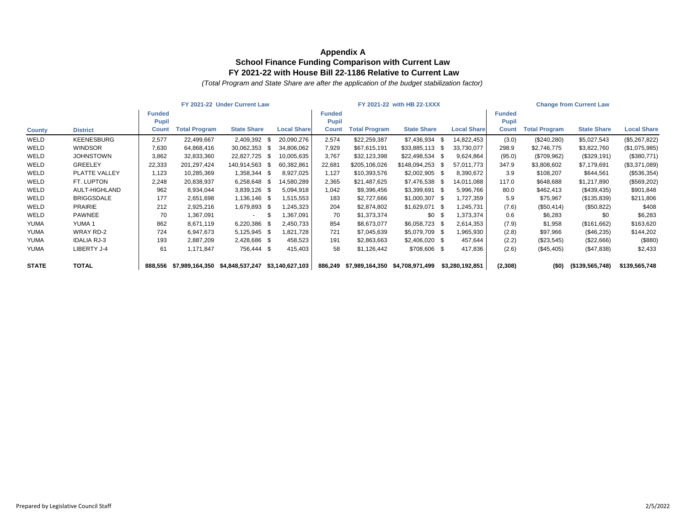|               | FY 2021-22 Under Current Law |               |                      |                    |      |                    | FY 2021-22 with HB 22-1XXX |                      |                    |      | <b>Change from Current Law</b> |              |                      |                    |                    |
|---------------|------------------------------|---------------|----------------------|--------------------|------|--------------------|----------------------------|----------------------|--------------------|------|--------------------------------|--------------|----------------------|--------------------|--------------------|
|               |                              | <b>Funded</b> |                      |                    |      |                    | <b>Funded</b>              |                      |                    |      |                                | Funded       |                      |                    |                    |
|               |                              | <b>Pupil</b>  |                      |                    |      |                    | <b>Pupil</b>               |                      |                    |      |                                | <b>Pupil</b> |                      |                    |                    |
| <b>County</b> | <b>District</b>              | <b>Count</b>  | <b>Total Program</b> | <b>State Share</b> |      | <b>Local Share</b> | <b>Count</b>               | <b>Total Program</b> | <b>State Share</b> |      | <b>Local Share</b>             | <b>Count</b> | <b>Total Program</b> | <b>State Share</b> | <b>Local Share</b> |
| WELD          | <b>KEENESBURG</b>            | 2,577         | 22,499,667           | 2,409,392          | - \$ | 20,090,276         | 2,574                      | \$22,259,387         | \$7,436,934        | - \$ | 14,822,453                     | (3.0)        | (\$240,280)          | \$5,027,543        | (\$5,267,822)      |
| WELD          | <b>WINDSOR</b>               | 7,630         | 64,868,416           | 30,062,353         | - \$ | 34,806,062         | 7,929                      | \$67,615,191         | \$33,885,113 \$    |      | 33,730,077                     | 298.9        | \$2,746,775          | \$3,822,760        | (\$1,075,985)      |
| WELD          | <b>JOHNSTOWN</b>             | 3,862         | 32,833,360           | 22,827,725         | - \$ | 10,005,635         | 3,767                      | \$32,123,398         | \$22,498,534       | - \$ | 9,624,864                      | (95.0)       | (\$709,962)          | (\$329,191)        | (\$380,771)        |
| WELD          | <b>GREELEY</b>               | 22,333        | 201, 297, 424        | 140,914,563        | - \$ | 60,382,861         | 22,681                     | \$205,106,026        | \$148,094,253      |      | 57,011,773                     | 347.9        | \$3,808,602          | \$7,179,691        | (\$3,371,089)      |
| WELD          | PLATTE VALLEY                | 1,123         | 10,285,369           | 1,358,344 \$       |      | 8,927,025          | 1,127                      | \$10,393,576         | \$2,002,905        | - \$ | 8,390,672                      | 3.9          | \$108,207            | \$644,561          | (\$536,354)        |
| WELD          | FT. LUPTON                   | 2,248         | 20,838,937           | 6,258,648 \$       |      | 14,580,289         | 2,365                      | \$21,487,625         | \$7,476,538        | - SS | 14,011,088                     | 117.0        | \$648,688            | \$1,217,890        | (\$569,202)        |
| WELD          | AULT-HIGHLAND                | 962           | 8,934,044            | 3,839,126 \$       |      | 5,094,918          | 1,042                      | \$9,396,456          | \$3,399,691        | - \$ | 5,996,766                      | 80.0         | \$462,413            | (\$439,435)        | \$901,848          |
| WELD          | <b>BRIGGSDALE</b>            | 177           | 2,651,698            | 1,136,146 \$       |      | 1,515,553          | 183                        | \$2,727,666          | $$1,000,307$ \$    |      | 1,727,359                      | 5.9          | \$75,967             | (\$135,839)        | \$211,806          |
| WELD          | <b>PRAIRIE</b>               | 212           | 2,925,216            | 1,679,893 \$       |      | ,245,323           | 204                        | \$2,874,802          | $$1,629,071$ \$    |      | 1,245,731                      | (7.6)        | (\$50,414)           | (\$50,822)         | \$408              |
| WELD          | <b>PAWNEE</b>                | 70            | 1,367,091            | $\sim$             |      | ,367,091           | 70                         | \$1,373,374          | \$0                |      | 1,373,374                      | 0.6          | \$6,283              | \$0                | \$6,283            |
| <b>YUMA</b>   | YUMA 1                       | 862           | 8,671,119            | 6,220,386 \$       |      | 2,450,733          | 854                        | \$8,673,077          | \$6,058,723        | - \$ | 2,614,353                      | (7.9)        | \$1,958              | (\$161,662)        | \$163,620          |
| <b>YUMA</b>   | WRAY RD-2                    | 724           | 6,947,673            | 5,125,945 \$       |      | 1,821,728          | 721                        | \$7,045,639          | \$5,079,709 \$     |      | 1,965,930                      | (2.8)        | \$97,966             | $(\$46,235)$       | \$144,202          |
| <b>YUMA</b>   | <b>IDALIA RJ-3</b>           | 193           | 2,887,209            | 2,428,686 \$       |      | 458,523            | 191                        | \$2,863,663          | $$2,406,020$ \$    |      | 457,644                        | (2.2)        | (\$23,545)           | (\$22,666)         | (\$880)            |
| <b>YUMA</b>   | LIBERTY J-4                  | 61            | 1,171,847            | 756,444 \$         |      | 415,403            | 58                         | \$1,126,442          | \$708,606 \$       |      | 417,836                        | (2.6)        | (\$45,405)           | (\$47,838)         | \$2,433            |
| <b>STATE</b>  | <b>TOTAL</b>                 | 888.556       | \$7,989,164,350      | \$4,848,537,247    |      | \$3,140,627,103    | 886,249                    | \$7,989,164,350      | \$4,708,971,499    |      | \$3,280,192,851                | (2,308)      | (50)                 | $($ \$139,565,748) | \$139,565,748      |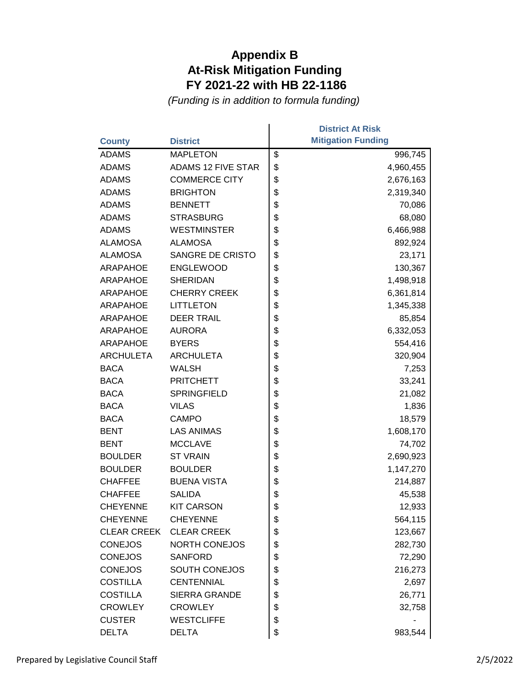| <b>County</b>      | <b>District</b>           | <b>District At Risk</b><br><b>Mitigation Funding</b> |
|--------------------|---------------------------|------------------------------------------------------|
| <b>ADAMS</b>       | <b>MAPLETON</b>           | \$<br>996,745                                        |
| <b>ADAMS</b>       | <b>ADAMS 12 FIVE STAR</b> | \$<br>4,960,455                                      |
| <b>ADAMS</b>       | <b>COMMERCE CITY</b>      | \$<br>2,676,163                                      |
| <b>ADAMS</b>       | <b>BRIGHTON</b>           | \$<br>2,319,340                                      |
| <b>ADAMS</b>       | <b>BENNETT</b>            | \$<br>70,086                                         |
| <b>ADAMS</b>       | <b>STRASBURG</b>          | \$<br>68,080                                         |
| <b>ADAMS</b>       | <b>WESTMINSTER</b>        | \$<br>6,466,988                                      |
| <b>ALAMOSA</b>     | <b>ALAMOSA</b>            | \$<br>892,924                                        |
| <b>ALAMOSA</b>     | SANGRE DE CRISTO          | \$<br>23,171                                         |
| <b>ARAPAHOE</b>    | <b>ENGLEWOOD</b>          | \$<br>130,367                                        |
| <b>ARAPAHOE</b>    | <b>SHERIDAN</b>           | \$<br>1,498,918                                      |
| <b>ARAPAHOE</b>    | <b>CHERRY CREEK</b>       | \$<br>6,361,814                                      |
| <b>ARAPAHOE</b>    | <b>LITTLETON</b>          | \$<br>1,345,338                                      |
| <b>ARAPAHOE</b>    | <b>DEER TRAIL</b>         | \$<br>85,854                                         |
| <b>ARAPAHOE</b>    | <b>AURORA</b>             | \$<br>6,332,053                                      |
| <b>ARAPAHOE</b>    | <b>BYERS</b>              | \$<br>554,416                                        |
| <b>ARCHULETA</b>   | <b>ARCHULETA</b>          | \$<br>320,904                                        |
| <b>BACA</b>        | <b>WALSH</b>              | \$<br>7,253                                          |
| <b>BACA</b>        | <b>PRITCHETT</b>          | \$<br>33,241                                         |
| <b>BACA</b>        | <b>SPRINGFIELD</b>        | \$<br>21,082                                         |
| <b>BACA</b>        | <b>VILAS</b>              | \$<br>1,836                                          |
| <b>BACA</b>        | <b>CAMPO</b>              | \$<br>18,579                                         |
| <b>BENT</b>        | <b>LAS ANIMAS</b>         | \$<br>1,608,170                                      |
| <b>BENT</b>        | <b>MCCLAVE</b>            | \$<br>74,702                                         |
| <b>BOULDER</b>     | <b>ST VRAIN</b>           | \$<br>2,690,923                                      |
| <b>BOULDER</b>     | <b>BOULDER</b>            | \$<br>1,147,270                                      |
| <b>CHAFFEE</b>     | <b>BUENA VISTA</b>        | \$<br>214,887                                        |
| <b>CHAFFEE</b>     | <b>SALIDA</b>             | \$<br>45,538                                         |
| <b>CHEYENNE</b>    | <b>KIT CARSON</b>         | \$<br>12,933                                         |
| <b>CHEYENNE</b>    | <b>CHEYENNE</b>           | \$<br>564,115                                        |
| <b>CLEAR CREEK</b> | <b>CLEAR CREEK</b>        | \$<br>123,667                                        |
| <b>CONEJOS</b>     | <b>NORTH CONEJOS</b>      | \$<br>282,730                                        |
| <b>CONEJOS</b>     | <b>SANFORD</b>            | \$<br>72,290                                         |
| <b>CONEJOS</b>     | <b>SOUTH CONEJOS</b>      | \$<br>216,273                                        |
| <b>COSTILLA</b>    | <b>CENTENNIAL</b>         | \$<br>2,697                                          |
| <b>COSTILLA</b>    | <b>SIERRA GRANDE</b>      | \$<br>26,771                                         |
| <b>CROWLEY</b>     | <b>CROWLEY</b>            | \$<br>32,758                                         |
| <b>CUSTER</b>      | <b>WESTCLIFFE</b>         | \$                                                   |
| <b>DELTA</b>       | <b>DELTA</b>              | \$<br>983,544                                        |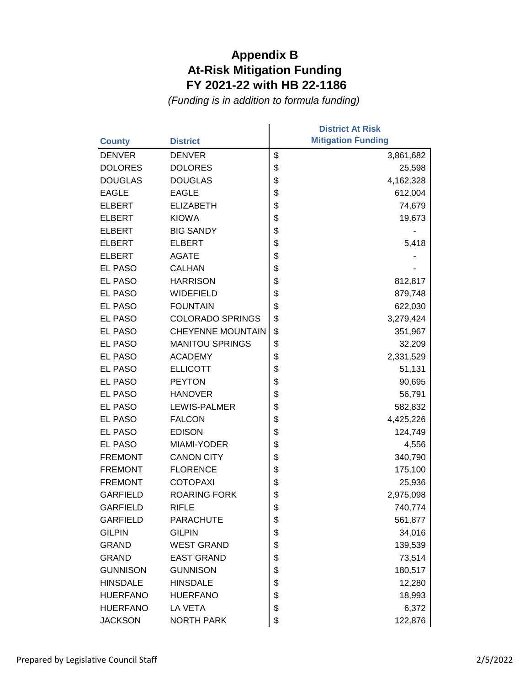|                 |                          | <b>District At Risk</b>   |
|-----------------|--------------------------|---------------------------|
| <b>County</b>   | <b>District</b>          | <b>Mitigation Funding</b> |
| <b>DENVER</b>   | <b>DENVER</b>            | \$<br>3,861,682           |
| <b>DOLORES</b>  | <b>DOLORES</b>           | \$<br>25,598              |
| <b>DOUGLAS</b>  | <b>DOUGLAS</b>           | \$<br>4,162,328           |
| <b>EAGLE</b>    | <b>EAGLE</b>             | \$<br>612,004             |
| <b>ELBERT</b>   | <b>ELIZABETH</b>         | \$<br>74,679              |
| <b>ELBERT</b>   | <b>KIOWA</b>             | \$<br>19,673              |
| <b>ELBERT</b>   | <b>BIG SANDY</b>         | \$                        |
| <b>ELBERT</b>   | <b>ELBERT</b>            | \$<br>5,418               |
| <b>ELBERT</b>   | <b>AGATE</b>             | \$                        |
| EL PASO         | <b>CALHAN</b>            | \$                        |
| <b>EL PASO</b>  | <b>HARRISON</b>          | \$<br>812,817             |
| <b>EL PASO</b>  | <b>WIDEFIELD</b>         | \$<br>879,748             |
| <b>EL PASO</b>  | <b>FOUNTAIN</b>          | \$<br>622,030             |
| EL PASO         | <b>COLORADO SPRINGS</b>  | \$<br>3,279,424           |
| EL PASO         | <b>CHEYENNE MOUNTAIN</b> | \$<br>351,967             |
| <b>EL PASO</b>  | <b>MANITOU SPRINGS</b>   | \$<br>32,209              |
| <b>EL PASO</b>  | <b>ACADEMY</b>           | \$<br>2,331,529           |
| EL PASO         | <b>ELLICOTT</b>          | \$<br>51,131              |
| EL PASO         | <b>PEYTON</b>            | \$<br>90,695              |
| EL PASO         | <b>HANOVER</b>           | \$<br>56,791              |
| <b>EL PASO</b>  | <b>LEWIS-PALMER</b>      | \$<br>582,832             |
| EL PASO         | <b>FALCON</b>            | \$<br>4,425,226           |
| <b>EL PASO</b>  | <b>EDISON</b>            | \$<br>124,749             |
| EL PASO         | MIAMI-YODER              | \$<br>4,556               |
| <b>FREMONT</b>  | <b>CANON CITY</b>        | \$<br>340,790             |
| <b>FREMONT</b>  | <b>FLORENCE</b>          | \$<br>175,100             |
| <b>FREMONT</b>  | <b>COTOPAXI</b>          | \$<br>25,936              |
| <b>GARFIELD</b> | <b>ROARING FORK</b>      | \$<br>2,975,098           |
| <b>GARFIELD</b> | <b>RIFLE</b>             | \$<br>740,774             |
| <b>GARFIELD</b> | <b>PARACHUTE</b>         | \$<br>561,877             |
| <b>GILPIN</b>   | <b>GILPIN</b>            | \$<br>34,016              |
| <b>GRAND</b>    | <b>WEST GRAND</b>        | \$<br>139,539             |
| <b>GRAND</b>    | <b>EAST GRAND</b>        | \$<br>73,514              |
| <b>GUNNISON</b> | <b>GUNNISON</b>          | \$<br>180,517             |
| <b>HINSDALE</b> | <b>HINSDALE</b>          | \$<br>12,280              |
| <b>HUERFANO</b> | <b>HUERFANO</b>          | \$<br>18,993              |
| <b>HUERFANO</b> | LA VETA                  | \$<br>6,372               |
| <b>JACKSON</b>  | <b>NORTH PARK</b>        | \$<br>122,876             |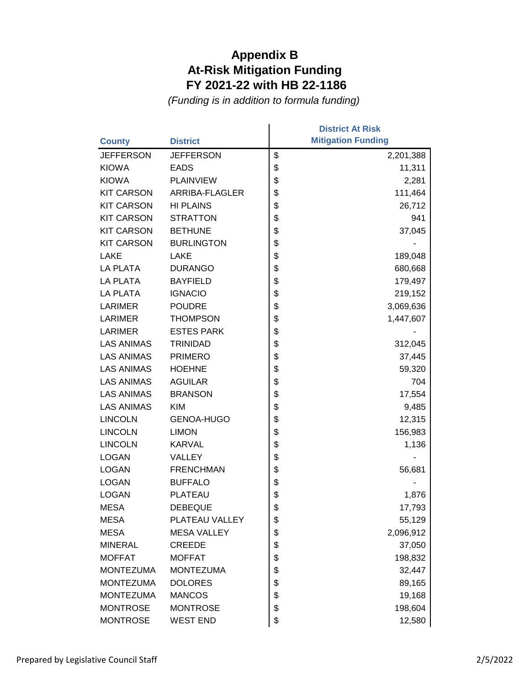|                   |                    | <b>District At Risk</b>   |
|-------------------|--------------------|---------------------------|
| <b>County</b>     | <b>District</b>    | <b>Mitigation Funding</b> |
| <b>JEFFERSON</b>  | <b>JEFFERSON</b>   | \$<br>2,201,388           |
| <b>KIOWA</b>      | <b>EADS</b>        | \$<br>11,311              |
| <b>KIOWA</b>      | <b>PLAINVIEW</b>   | \$<br>2,281               |
| <b>KIT CARSON</b> | ARRIBA-FLAGLER     | \$<br>111,464             |
| <b>KIT CARSON</b> | <b>HI PLAINS</b>   | \$<br>26,712              |
| <b>KIT CARSON</b> | <b>STRATTON</b>    | \$<br>941                 |
| <b>KIT CARSON</b> | <b>BETHUNE</b>     | \$<br>37,045              |
| <b>KIT CARSON</b> | <b>BURLINGTON</b>  | \$                        |
| LAKE              | <b>LAKE</b>        | \$<br>189,048             |
| <b>LA PLATA</b>   | <b>DURANGO</b>     | \$<br>680,668             |
| LA PLATA          | <b>BAYFIELD</b>    | \$<br>179,497             |
| <b>LA PLATA</b>   | <b>IGNACIO</b>     | \$<br>219,152             |
| <b>LARIMER</b>    | <b>POUDRE</b>      | \$<br>3,069,636           |
| <b>LARIMER</b>    | <b>THOMPSON</b>    | \$<br>1,447,607           |
| <b>LARIMER</b>    | <b>ESTES PARK</b>  | \$                        |
| <b>LAS ANIMAS</b> | <b>TRINIDAD</b>    | \$<br>312,045             |
| <b>LAS ANIMAS</b> | <b>PRIMERO</b>     | \$<br>37,445              |
| <b>LAS ANIMAS</b> | <b>HOEHNE</b>      | \$<br>59,320              |
| <b>LAS ANIMAS</b> | <b>AGUILAR</b>     | \$<br>704                 |
| <b>LAS ANIMAS</b> | <b>BRANSON</b>     | \$<br>17,554              |
| <b>LAS ANIMAS</b> | <b>KIM</b>         | \$<br>9,485               |
| <b>LINCOLN</b>    | <b>GENOA-HUGO</b>  | \$<br>12,315              |
| <b>LINCOLN</b>    | <b>LIMON</b>       | \$<br>156,983             |
| <b>LINCOLN</b>    | <b>KARVAL</b>      | \$<br>1,136               |
| <b>LOGAN</b>      | <b>VALLEY</b>      | \$                        |
| <b>LOGAN</b>      | <b>FRENCHMAN</b>   | \$<br>56,681              |
| <b>LOGAN</b>      | <b>BUFFALO</b>     | \$                        |
| <b>LOGAN</b>      | PLATEAU            | \$<br>1,876               |
| <b>MESA</b>       | <b>DEBEQUE</b>     | \$<br>17,793              |
| <b>MESA</b>       | PLATEAU VALLEY     | \$<br>55,129              |
| <b>MESA</b>       | <b>MESA VALLEY</b> | \$<br>2,096,912           |
| <b>MINERAL</b>    | <b>CREEDE</b>      | \$<br>37,050              |
| <b>MOFFAT</b>     | <b>MOFFAT</b>      | \$<br>198,832             |
| <b>MONTEZUMA</b>  | <b>MONTEZUMA</b>   | \$<br>32,447              |
| <b>MONTEZUMA</b>  | <b>DOLORES</b>     | \$<br>89,165              |
| <b>MONTEZUMA</b>  | <b>MANCOS</b>      | \$<br>19,168              |
| <b>MONTROSE</b>   | <b>MONTROSE</b>    | \$<br>198,604             |
| <b>MONTROSE</b>   | <b>WEST END</b>    | \$<br>12,580              |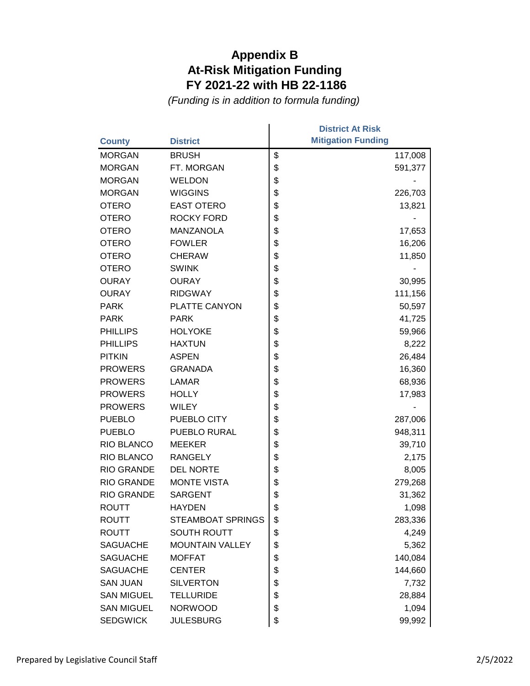|                   |                          | <b>District At Risk</b>   |
|-------------------|--------------------------|---------------------------|
| <b>County</b>     | <b>District</b>          | <b>Mitigation Funding</b> |
| <b>MORGAN</b>     | <b>BRUSH</b>             | \$<br>117,008             |
| <b>MORGAN</b>     | FT. MORGAN               | \$<br>591,377             |
| <b>MORGAN</b>     | WELDON                   | \$                        |
| <b>MORGAN</b>     | <b>WIGGINS</b>           | \$<br>226,703             |
| <b>OTERO</b>      | <b>EAST OTERO</b>        | \$<br>13,821              |
| <b>OTERO</b>      | <b>ROCKY FORD</b>        | \$                        |
| <b>OTERO</b>      | <b>MANZANOLA</b>         | \$<br>17,653              |
| <b>OTERO</b>      | <b>FOWLER</b>            | \$<br>16,206              |
| <b>OTERO</b>      | <b>CHERAW</b>            | \$<br>11,850              |
| <b>OTERO</b>      | <b>SWINK</b>             | \$                        |
| <b>OURAY</b>      | <b>OURAY</b>             | \$<br>30,995              |
| <b>OURAY</b>      | <b>RIDGWAY</b>           | \$<br>111,156             |
| <b>PARK</b>       | PLATTE CANYON            | \$<br>50,597              |
| <b>PARK</b>       | <b>PARK</b>              | \$<br>41,725              |
| <b>PHILLIPS</b>   | <b>HOLYOKE</b>           | \$<br>59,966              |
| <b>PHILLIPS</b>   | <b>HAXTUN</b>            | \$<br>8,222               |
| <b>PITKIN</b>     | <b>ASPEN</b>             | \$<br>26,484              |
| <b>PROWERS</b>    | <b>GRANADA</b>           | \$<br>16,360              |
| <b>PROWERS</b>    | <b>LAMAR</b>             | \$<br>68,936              |
| <b>PROWERS</b>    | <b>HOLLY</b>             | \$<br>17,983              |
| <b>PROWERS</b>    | <b>WILEY</b>             | \$                        |
| <b>PUEBLO</b>     | PUEBLO CITY              | \$<br>287,006             |
| <b>PUEBLO</b>     | PUEBLO RURAL             | \$<br>948,311             |
| RIO BLANCO        | <b>MEEKER</b>            | \$<br>39,710              |
| RIO BLANCO        | <b>RANGELY</b>           | \$<br>2,175               |
| <b>RIO GRANDE</b> | <b>DEL NORTE</b>         | \$<br>8,005               |
| <b>RIO GRANDE</b> | <b>MONTE VISTA</b>       | \$<br>279,268             |
| <b>RIO GRANDE</b> | <b>SARGENT</b>           | \$<br>31,362              |
| <b>ROUTT</b>      | <b>HAYDEN</b>            | \$<br>1,098               |
| ROUTT             | <b>STEAMBOAT SPRINGS</b> | \$<br>283,336             |
| <b>ROUTT</b>      | <b>SOUTH ROUTT</b>       | \$<br>4,249               |
| <b>SAGUACHE</b>   | <b>MOUNTAIN VALLEY</b>   | \$<br>5,362               |
| <b>SAGUACHE</b>   | <b>MOFFAT</b>            | \$<br>140,084             |
| <b>SAGUACHE</b>   | <b>CENTER</b>            | \$<br>144,660             |
| <b>SAN JUAN</b>   | <b>SILVERTON</b>         | \$<br>7,732               |
| <b>SAN MIGUEL</b> | <b>TELLURIDE</b>         | \$<br>28,884              |
| <b>SAN MIGUEL</b> | <b>NORWOOD</b>           | \$<br>1,094               |
| <b>SEDGWICK</b>   | <b>JULESBURG</b>         | \$<br>99,992              |